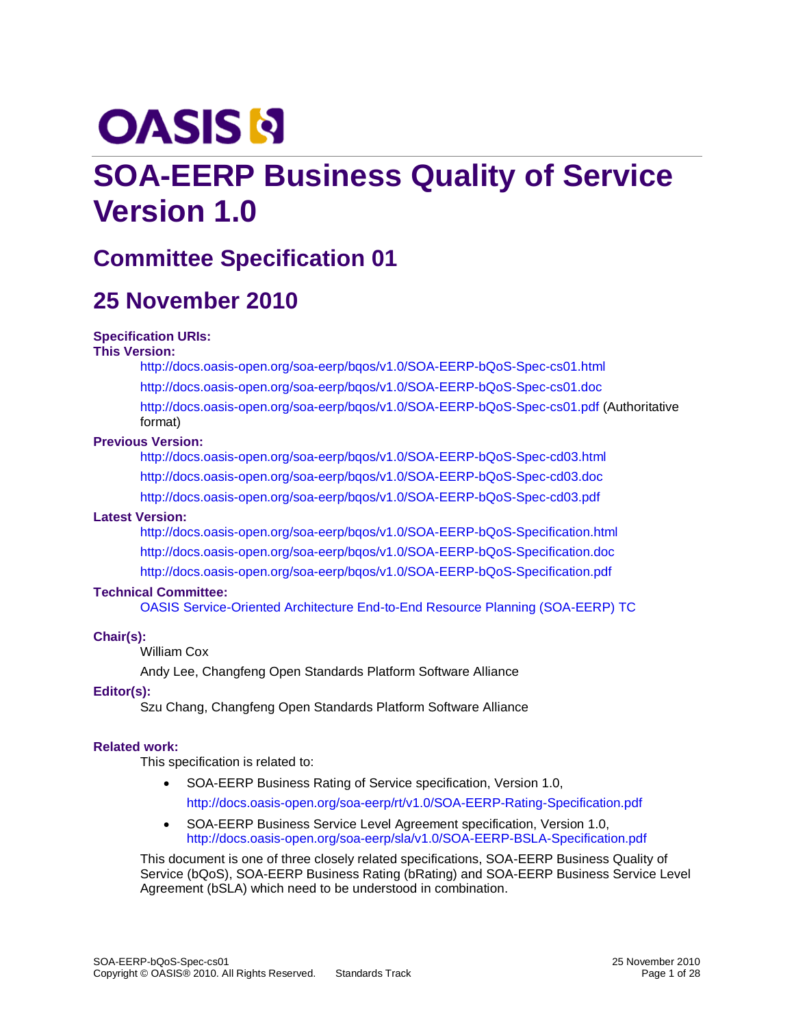# **OASIS N**

# **SOA-EERP Business Quality of Service Version 1.0**

# **Committee Specification 01**

# **25 November 2010**

#### **Specification URIs:**

#### **This Version:**

<http://docs.oasis-open.org/soa-eerp/bqos/v1.0/SOA-EERP-bQoS-Spec-cs01.html> <http://docs.oasis-open.org/soa-eerp/bqos/v1.0/SOA-EERP-bQoS-Spec-cs01.doc> <http://docs.oasis-open.org/soa-eerp/bqos/v1.0/SOA-EERP-bQoS-Spec-cs01.pdf> (Authoritative format)

#### **Previous Version:**

<http://docs.oasis-open.org/soa-eerp/bqos/v1.0/SOA-EERP-bQoS-Spec-cd03.html> <http://docs.oasis-open.org/soa-eerp/bqos/v1.0/SOA-EERP-bQoS-Spec-cd03.doc> <http://docs.oasis-open.org/soa-eerp/bqos/v1.0/SOA-EERP-bQoS-Spec-cd03.pdf>

#### **Latest Version:**

<http://docs.oasis-open.org/soa-eerp/bqos/v1.0/SOA-EERP-bQoS-Specification.html> <http://docs.oasis-open.org/soa-eerp/bqos/v1.0/SOA-EERP-bQoS-Specification.doc> <http://docs.oasis-open.org/soa-eerp/bqos/v1.0/SOA-EERP-bQoS-Specification.pdf>

#### **Technical Committee:**

[OASIS Service-Oriented Architecture End-to-End Resource Planning \(SOA-EERP\) TC](http://www.oasis-open.org/committees/tc_home.php?wg_abbrev=soa-eerp)

#### **Chair(s):**

William Cox

Andy Lee, Changfeng Open Standards Platform Software Alliance

#### **Editor(s):**

Szu Chang, Changfeng Open Standards Platform Software Alliance

#### **Related work:**

This specification is related to:

- SOA-EERP Business Rating of Service specification, Version 1.0, <http://docs.oasis-open.org/soa-eerp/rt/v1.0/SOA-EERP-Rating-Specification.pdf>
- SOA-EERP Business Service Level Agreement specification, Version 1.0, <http://docs.oasis-open.org/soa-eerp/sla/v1.0/SOA-EERP-BSLA-Specification.pdf>

This document is one of three closely related specifications, SOA-EERP Business Quality of Service (bQoS), SOA-EERP Business Rating (bRating) and SOA-EERP Business Service Level Agreement (bSLA) which need to be understood in combination.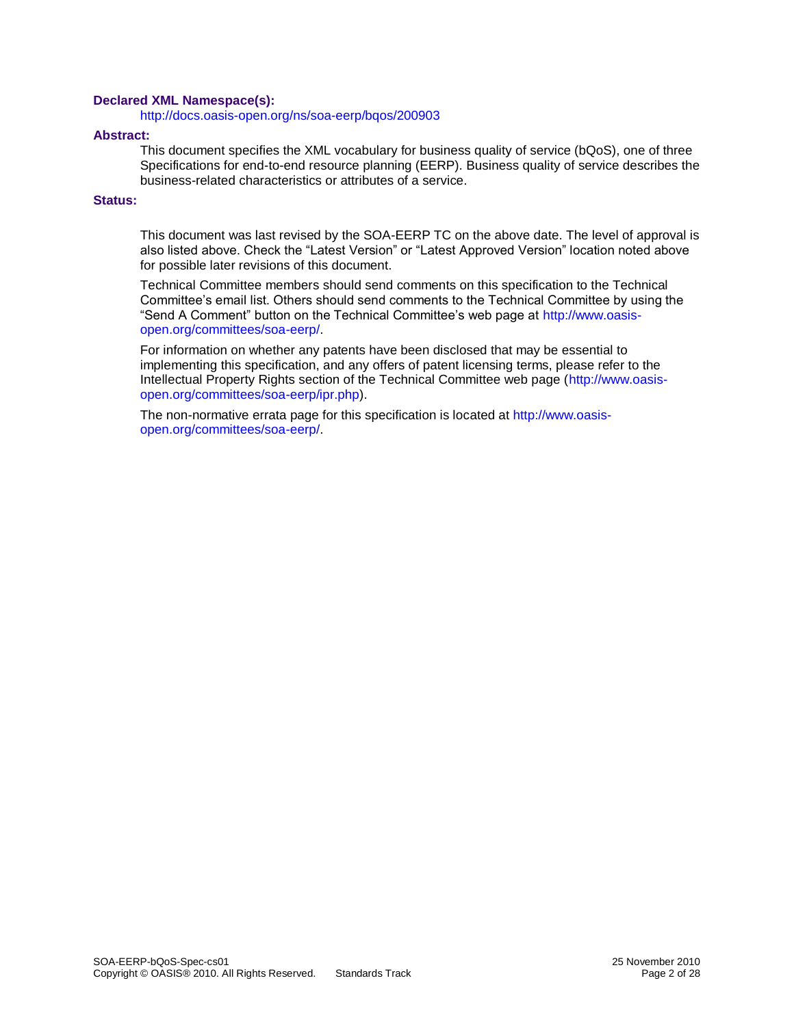#### **Declared XML Namespace(s):**

<http://docs.oasis-open.org/ns/soa-eerp/bqos/200903>

#### **Abstract:**

This document specifies the XML vocabulary for business quality of service (bQoS), one of three Specifications for end-to-end resource planning (EERP). Business quality of service describes the business-related characteristics or attributes of a service.

#### **Status:**

This document was last revised by the SOA-EERP TC on the above date. The level of approval is also listed above. Check the "Latest Version" or "Latest Approved Version" location noted above for possible later revisions of this document.

Technical Committee members should send comments on this specification to the Technical Committee's email list. Others should send comments to the Technical Committee by using the "Send A Comment" button on the Technical Committee's web page at [http://www.oasis](http://www.oasis-open.org/committees/soa-eerp/)[open.org/committees/soa-eerp/.](http://www.oasis-open.org/committees/soa-eerp/)

For information on whether any patents have been disclosed that may be essential to implementing this specification, and any offers of patent licensing terms, please refer to the Intellectual Property Rights section of the Technical Committee web page [\(http://www.oasis](http://www.oasis-open.org/committees/soa-eerp/ipr.php)[open.org/committees/soa-eerp/ipr.php\)](http://www.oasis-open.org/committees/soa-eerp/ipr.php).

The non-normative errata page for this specification is located at [http://www.oasis](http://www.oasis-open.org/committees/soa-eerp/)[open.org/committees/soa-eerp/.](http://www.oasis-open.org/committees/soa-eerp/)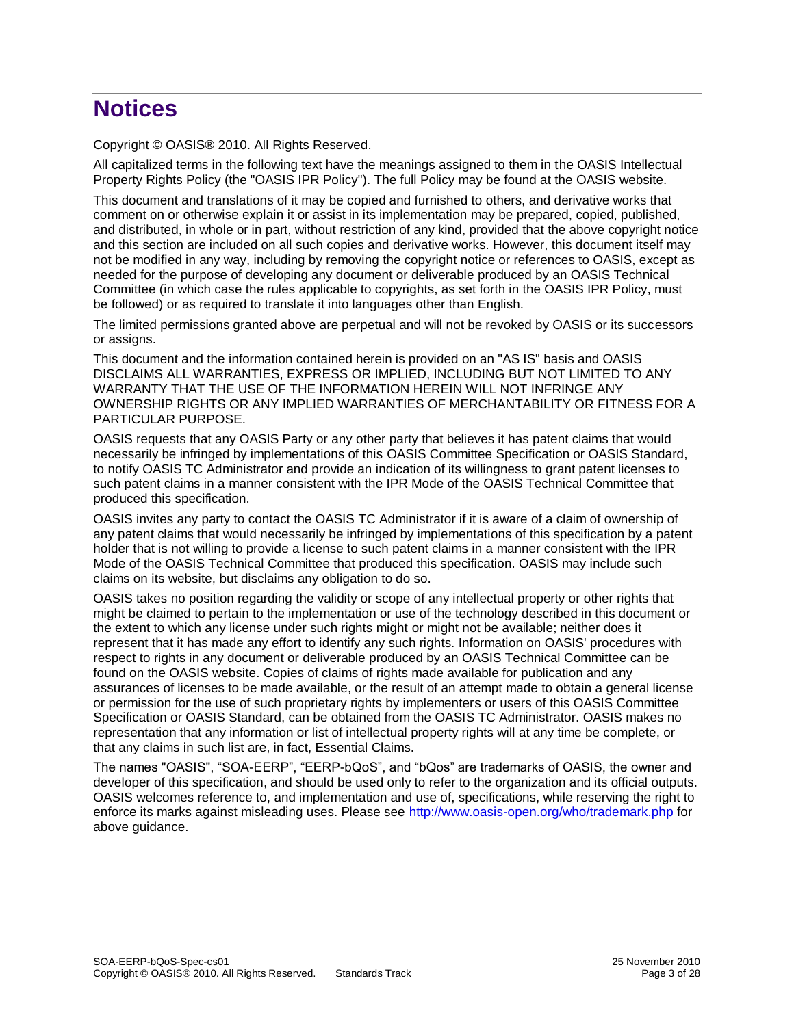# **Notices**

Copyright © OASIS® 2010. All Rights Reserved.

All capitalized terms in the following text have the meanings assigned to them in the OASIS Intellectual Property Rights Policy (the "OASIS IPR Policy"). The full Policy may be found at the OASIS website.

This document and translations of it may be copied and furnished to others, and derivative works that comment on or otherwise explain it or assist in its implementation may be prepared, copied, published, and distributed, in whole or in part, without restriction of any kind, provided that the above copyright notice and this section are included on all such copies and derivative works. However, this document itself may not be modified in any way, including by removing the copyright notice or references to OASIS, except as needed for the purpose of developing any document or deliverable produced by an OASIS Technical Committee (in which case the rules applicable to copyrights, as set forth in the OASIS IPR Policy, must be followed) or as required to translate it into languages other than English.

The limited permissions granted above are perpetual and will not be revoked by OASIS or its successors or assigns.

This document and the information contained herein is provided on an "AS IS" basis and OASIS DISCLAIMS ALL WARRANTIES, EXPRESS OR IMPLIED, INCLUDING BUT NOT LIMITED TO ANY WARRANTY THAT THE USE OF THE INFORMATION HEREIN WILL NOT INFRINGE ANY OWNERSHIP RIGHTS OR ANY IMPLIED WARRANTIES OF MERCHANTABILITY OR FITNESS FOR A PARTICULAR PURPOSE.

OASIS requests that any OASIS Party or any other party that believes it has patent claims that would necessarily be infringed by implementations of this OASIS Committee Specification or OASIS Standard, to notify OASIS TC Administrator and provide an indication of its willingness to grant patent licenses to such patent claims in a manner consistent with the IPR Mode of the OASIS Technical Committee that produced this specification.

OASIS invites any party to contact the OASIS TC Administrator if it is aware of a claim of ownership of any patent claims that would necessarily be infringed by implementations of this specification by a patent holder that is not willing to provide a license to such patent claims in a manner consistent with the IPR Mode of the OASIS Technical Committee that produced this specification. OASIS may include such claims on its website, but disclaims any obligation to do so.

OASIS takes no position regarding the validity or scope of any intellectual property or other rights that might be claimed to pertain to the implementation or use of the technology described in this document or the extent to which any license under such rights might or might not be available; neither does it represent that it has made any effort to identify any such rights. Information on OASIS' procedures with respect to rights in any document or deliverable produced by an OASIS Technical Committee can be found on the OASIS website. Copies of claims of rights made available for publication and any assurances of licenses to be made available, or the result of an attempt made to obtain a general license or permission for the use of such proprietary rights by implementers or users of this OASIS Committee Specification or OASIS Standard, can be obtained from the OASIS TC Administrator. OASIS makes no representation that any information or list of intellectual property rights will at any time be complete, or that any claims in such list are, in fact, Essential Claims.

The names "OASIS", "SOA-EERP", "EERP-bQoS", and "bQos" are trademarks of OASIS, the owner and developer of this specification, and should be used only to refer to the organization and its official outputs. OASIS welcomes reference to, and implementation and use of, specifications, while reserving the right to enforce its marks against misleading uses. Please see<http://www.oasis-open.org/who/trademark.php> for above guidance.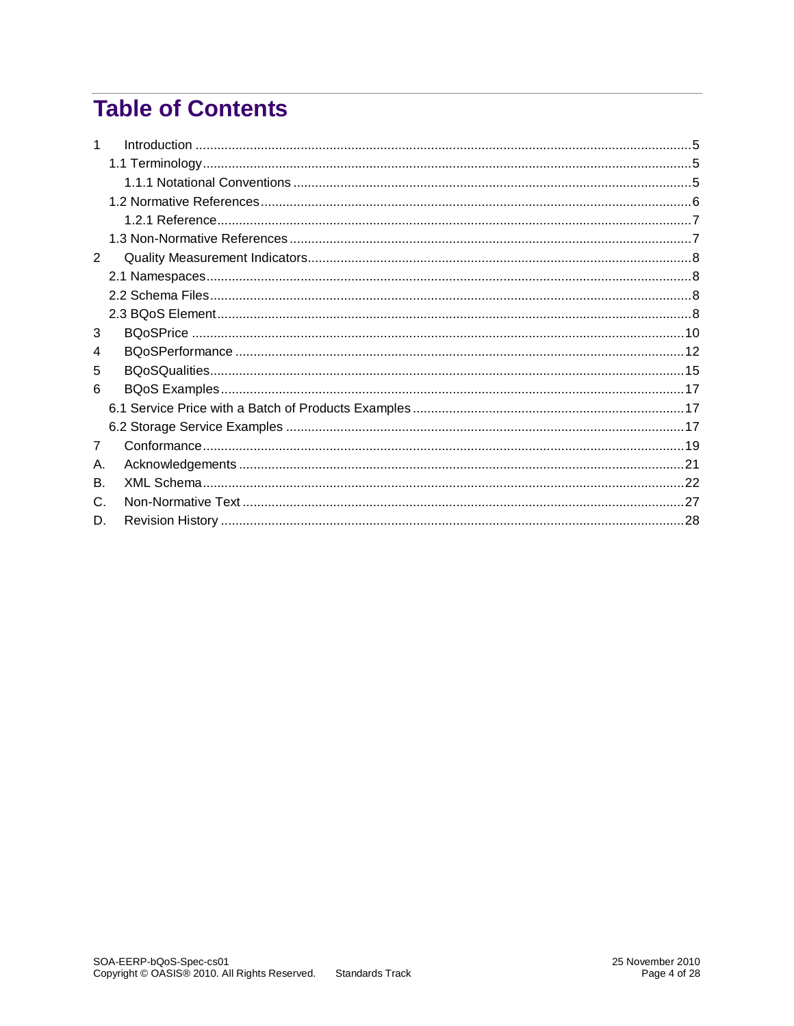# **Table of Contents**

| 2  |  |
|----|--|
|    |  |
|    |  |
|    |  |
| 3  |  |
| 4  |  |
| 5  |  |
| 6  |  |
|    |  |
|    |  |
| 7  |  |
| А. |  |
| В. |  |
| C. |  |
| D. |  |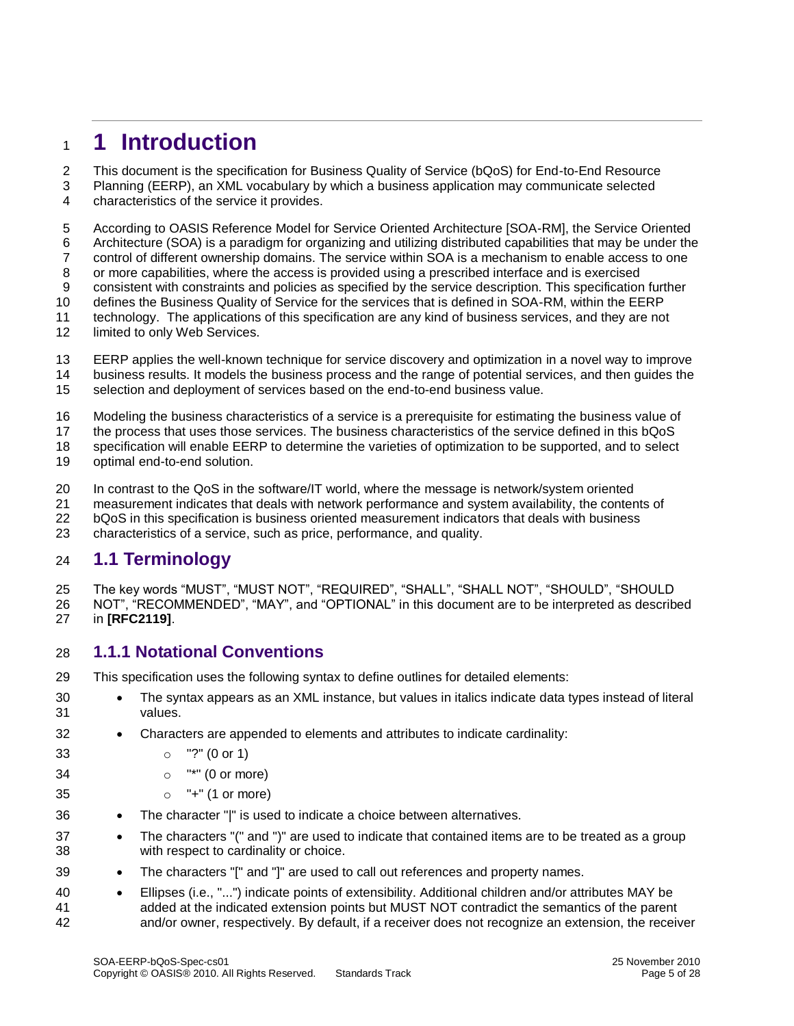# <span id="page-4-0"></span>**1 Introduction**

This document is the specification for Business Quality of Service (bQoS) for End-to-End Resource

 Planning (EERP), an XML vocabulary by which a business application may communicate selected characteristics of the service it provides.

 According to OASIS Reference Model for Service Oriented Architecture [SOA-RM], the Service Oriented Architecture (SOA) is a paradigm for organizing and utilizing distributed capabilities that may be under the control of different ownership domains. The service within SOA is a mechanism to enable access to one or more capabilities, where the access is provided using a prescribed interface and is exercised consistent with constraints and policies as specified by the service description. This specification further defines the Business Quality of Service for the services that is defined in SOA-RM, within the EERP technology. The applications of this specification are any kind of business services, and they are not 12 limited to only Web Services.

- EERP applies the well-known technique for service discovery and optimization in a novel way to improve business results. It models the business process and the range of potential services, and then guides the
- selection and deployment of services based on the end-to-end business value.

Modeling the business characteristics of a service is a prerequisite for estimating the business value of

the process that uses those services. The business characteristics of the service defined in this bQoS

 specification will enable EERP to determine the varieties of optimization to be supported, and to select optimal end-to-end solution.

In contrast to the QoS in the software/IT world, where the message is network/system oriented

measurement indicates that deals with network performance and system availability, the contents of

bQoS in this specification is business oriented measurement indicators that deals with business

characteristics of a service, such as price, performance, and quality.

### <span id="page-4-1"></span>**1.1 Terminology**

 The key words "MUST", "MUST NOT", "REQUIRED", "SHALL", "SHALL NOT", "SHOULD", "SHOULD NOT", "RECOMMENDED", "MAY", and "OPTIONAL" in this document are to be interpreted as described in **[\[RFC2119\]](#page-5-1)**.

### <span id="page-4-2"></span>**1.1.1 Notational Conventions**

This specification uses the following syntax to define outlines for detailed elements:

- 30 The syntax appears as an XML instance, but values in italics indicate data types instead of literal values.
- Characters are appended to elements and attributes to indicate cardinality:

o "?" (0 or 1)

- o "\*" (0 or more)
- o "+" (1 or more)
- The character "|" is used to indicate a choice between alternatives.
- **•** The characters "(" and ")" are used to indicate that contained items are to be treated as a group with respect to cardinality or choice.
- The characters "[" and "]" are used to call out references and property names.
- Ellipses (i.e., "...") indicate points of extensibility. Additional children and/or attributes MAY be added at the indicated extension points but MUST NOT contradict the semantics of the parent and/or owner, respectively. By default, if a receiver does not recognize an extension, the receiver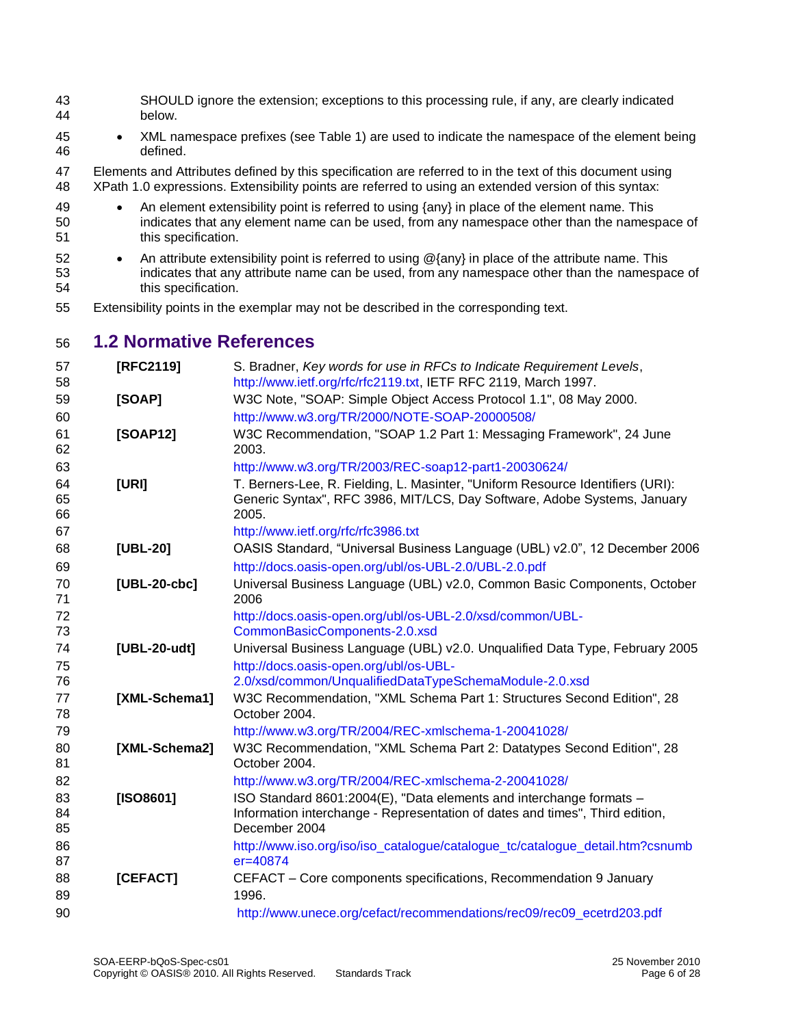- SHOULD ignore the extension; exceptions to this processing rule, if any, are clearly indicated below.
- XML namespace prefixes (see Table 1) are used to indicate the namespace of the element being defined.
- Elements and Attributes defined by this specification are referred to in the text of this document using XPath 1.0 expressions. Extensibility points are referred to using an extended version of this syntax:
- 49 An element extensibility point is referred to using {any} in place of the element name. This indicates that any element name can be used, from any namespace other than the namespace of this specification.
- 52 An attribute extensibility point is referred to using @{any} in place of the attribute name. This indicates that any attribute name can be used, from any namespace other than the namespace of this specification.
- Extensibility points in the exemplar may not be described in the corresponding text.

### <span id="page-5-0"></span>**1.2 Normative References**

<span id="page-5-4"></span><span id="page-5-3"></span><span id="page-5-2"></span><span id="page-5-1"></span>

| 57<br>58       | [RFC2119]     | S. Bradner, Key words for use in RFCs to Indicate Requirement Levels,<br>http://www.ietf.org/rfc/rfc2119.txt, IETF RFC 2119, March 1997.                             |
|----------------|---------------|----------------------------------------------------------------------------------------------------------------------------------------------------------------------|
| 59             | [SOAP]        | W3C Note, "SOAP: Simple Object Access Protocol 1.1", 08 May 2000.                                                                                                    |
| 60             |               | http://www.w3.org/TR/2000/NOTE-SOAP-20000508/                                                                                                                        |
| 61<br>62       | [SOAP12]      | W3C Recommendation, "SOAP 1.2 Part 1: Messaging Framework", 24 June<br>2003.                                                                                         |
| 63             |               | http://www.w3.org/TR/2003/REC-soap12-part1-20030624/                                                                                                                 |
| 64<br>65<br>66 | [URI]         | T. Berners-Lee, R. Fielding, L. Masinter, "Uniform Resource Identifiers (URI):<br>Generic Syntax", RFC 3986, MIT/LCS, Day Software, Adobe Systems, January<br>2005.  |
| 67             |               | http://www.ietf.org/rfc/rfc3986.txt                                                                                                                                  |
| 68             | [UBL-20]      | OASIS Standard, "Universal Business Language (UBL) v2.0", 12 December 2006                                                                                           |
| 69             |               | http://docs.oasis-open.org/ubl/os-UBL-2.0/UBL-2.0.pdf                                                                                                                |
| 70<br>71       | [UBL-20-cbc]  | Universal Business Language (UBL) v2.0, Common Basic Components, October<br>2006                                                                                     |
| 72             |               | http://docs.oasis-open.org/ubl/os-UBL-2.0/xsd/common/UBL-                                                                                                            |
| 73             |               | CommonBasicComponents-2.0.xsd                                                                                                                                        |
| 74             | [UBL-20-udt]  | Universal Business Language (UBL) v2.0. Unqualified Data Type, February 2005                                                                                         |
| 75             |               | http://docs.oasis-open.org/ubl/os-UBL-                                                                                                                               |
| 76             |               | 2.0/xsd/common/UnqualifiedDataTypeSchemaModule-2.0.xsd                                                                                                               |
| 77<br>78       | [XML-Schema1] | W3C Recommendation, "XML Schema Part 1: Structures Second Edition", 28<br>October 2004.                                                                              |
| 79             |               | http://www.w3.org/TR/2004/REC-xmlschema-1-20041028/                                                                                                                  |
| 80<br>81       | [XML-Schema2] | W3C Recommendation, "XML Schema Part 2: Datatypes Second Edition", 28<br>October 2004.                                                                               |
| 82             |               | http://www.w3.org/TR/2004/REC-xmlschema-2-20041028/                                                                                                                  |
| 83<br>84<br>85 | [ISO8601]     | ISO Standard 8601:2004(E), "Data elements and interchange formats -<br>Information interchange - Representation of dates and times", Third edition,<br>December 2004 |
| 86<br>87       |               | http://www.iso.org/iso/iso_catalogue/catalogue_tc/catalogue_detail.htm?csnumb<br>er=40874                                                                            |
| 88<br>89       | [CEFACT]      | CEFACT - Core components specifications, Recommendation 9 January<br>1996.                                                                                           |
| 90             |               | http://www.unece.org/cefact/recommendations/rec09/rec09_ecetrd203.pdf                                                                                                |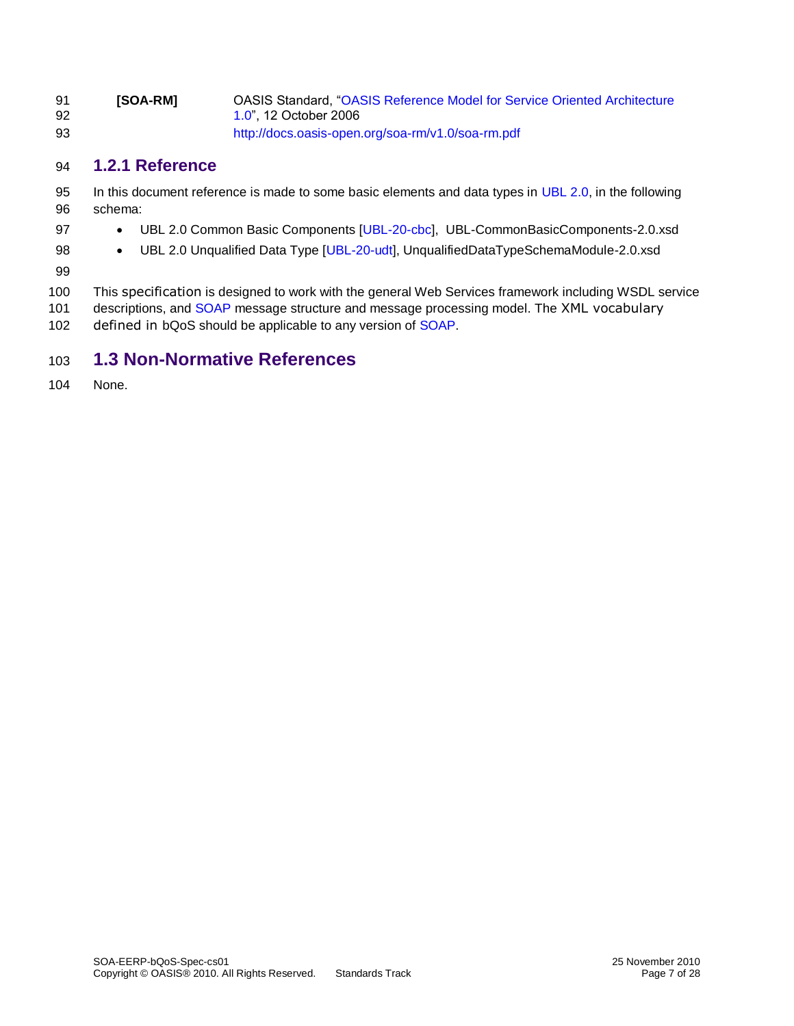| 91<br>92 | <b>ISOA-RMI</b> | OASIS Standard. "OASIS Reference Model for Service Oriented Architecture<br>1.0", 12 October 2006 |
|----------|-----------------|---------------------------------------------------------------------------------------------------|
| 93       |                 | http://docs.oasis-open.org/soa-rm/v1.0/soa-rm.pdf                                                 |

### <span id="page-6-0"></span>**1.2.1 Reference**

- 95 In this document reference is made to some basic elements and data types in [UBL 2.0,](#page-5-2) in the following schema:
- **•** UBL 2.0 Common Basic Components [\[UBL-20-cbc\]](#page-5-3), UBL-CommonBasicComponents-2.0.xsd
- **•** UBL 2.0 Unqualified Data Type [\[UBL-20-udt\]](#page-5-4), UnqualifiedDataTypeSchemaModule-2.0.xsd
- 

 This specification is designed to work with the general Web Services framework including WSDL service 101 descriptions, and [SOAP](#page-6-1) message structure and message processing model. The XML vocabulary 102 defined in bQoS should be applicable to any version of [SOAP.](#page-6-1)

### <span id="page-6-1"></span>**1.3 Non-Normative References**

None.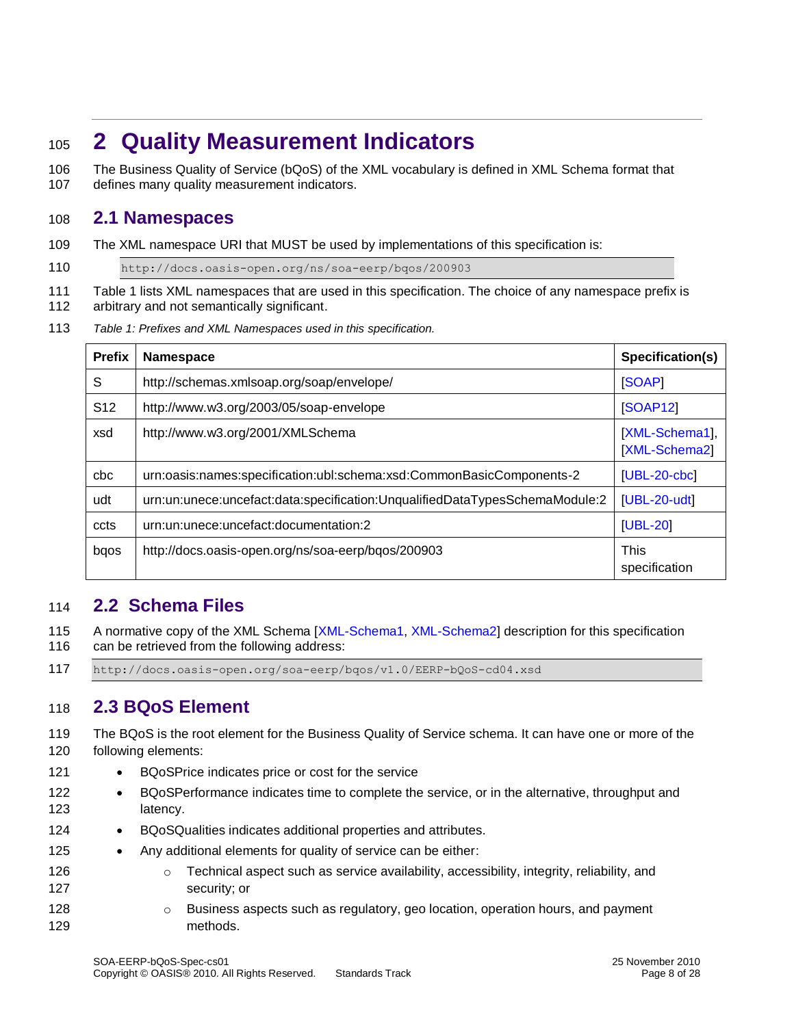# <span id="page-7-0"></span><sup>105</sup> **2 Quality Measurement Indicators**

106 The Business Quality of Service (bQoS) of the XML vocabulary is defined in XML Schema format that 107 defines many quality measurement indicators.

### <span id="page-7-1"></span>108 **2.1 Namespaces**

109 The XML namespace URI that MUST be used by implementations of this specification is:

110 http://docs.oasis-open.org/ns/soa-eerp/bqos/200903

- 111 Table 1 lists XML namespaces that are used in this specification. The choice of any namespace prefix is
- 112 arbitrary and not semantically significant.
- 113 *Table 1: Prefixes and XML Namespaces used in this specification.*

| <b>Prefix</b>   | <b>Namespace</b>                                                            | Specification(s)                |
|-----------------|-----------------------------------------------------------------------------|---------------------------------|
| S               | http://schemas.xmlsoap.org/soap/envelope/                                   | <b>SOAP1</b>                    |
| S <sub>12</sub> | http://www.w3.org/2003/05/soap-envelope                                     | <b>[SOAP12]</b>                 |
| xsd             | http://www.w3.org/2001/XMLSchema                                            | [XML-Schema1],<br>[XML-Schema2] |
| cbc             | urn:oasis:names:specification:ubl:schema:xsd:CommonBasicComponents-2        | $[UBL-20-cbc]$                  |
| udt             | urn:un:unece:uncefact:data:specification:UnqualifiedDataTypesSchemaModule:2 | [UBL-20-udt]                    |
| ccts            | urn:un:unece:uncefact:documentation:2                                       | $[UBL-20]$                      |
| bqos            | http://docs.oasis-open.org/ns/soa-eerp/bqos/200903                          | <b>This</b><br>specification    |

### <span id="page-7-2"></span>114 **2.2 Schema Files**

- 115 A normative copy of the XML Schema [\[XML-Schema1, XML-Schema2\]](#page-6-1) description for this specification 116 can be retrieved from the following address:
- 117 http://docs.oasis-open.org/soa-eerp/bqos/v1.0/EERP-bQoS-cd04.xsd

### <span id="page-7-3"></span>118 **2.3 BQoS Element**

- 119 The BQoS is the root element for the Business Quality of Service schema. It can have one or more of the 120 following elements:
- 121 BQoSPrice indicates price or cost for the service
- 122 BQoSPerformance indicates time to complete the service, or in the alternative, throughput and 123 latency.
- 124 BQoSQualities indicates additional properties and attributes.
- 125 Any additional elements for quality of service can be either:
- 126 **b Come Technical aspect such as service availability, accessibility, integrity, reliability, and** 127 security; or
- 128 **business aspects such as regulatory, geo location, operation hours, and payment** 129 methods.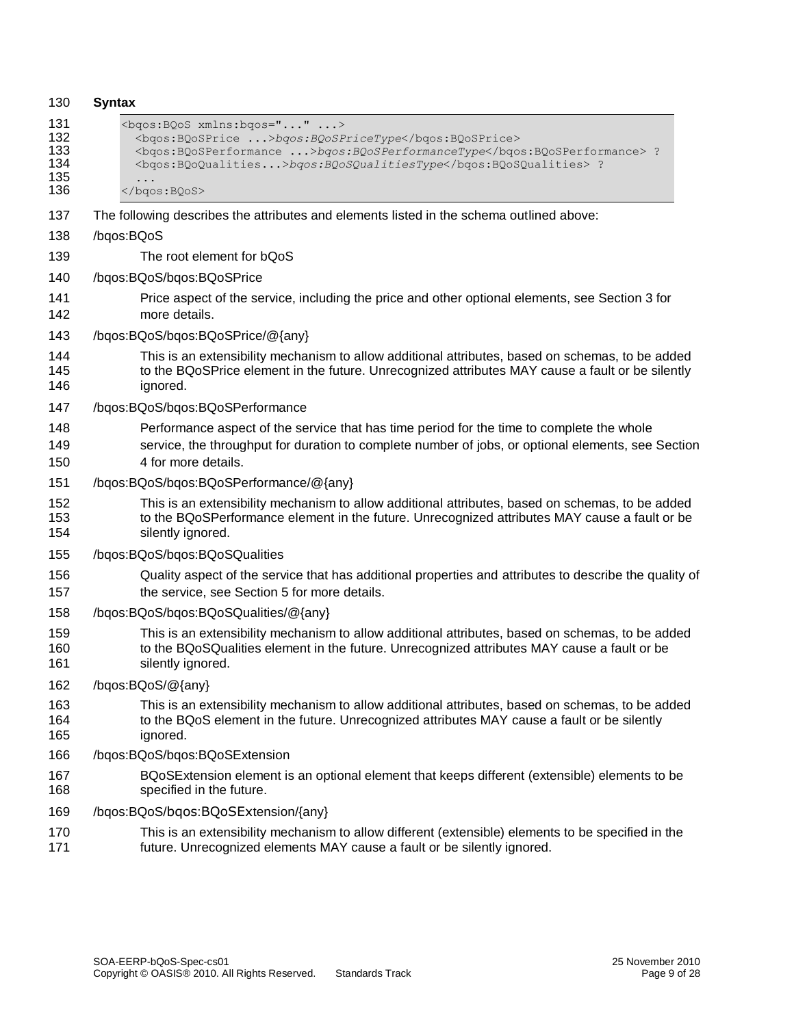| 130                                    | <b>Syntax</b>                                                                                                                                                                                                          |
|----------------------------------------|------------------------------------------------------------------------------------------------------------------------------------------------------------------------------------------------------------------------|
| 131<br>132<br>133<br>134<br>135<br>136 | <bgos: bqos="" xmlns:=""><br/><bgos:bqosprice>bgos:BQoSPriceType</bgos:bqosprice><br/><br/> bqos:BQoSPerformance  &gt;bqos:BQoSPerformanceType ?<br/><br/> <br> <br/> <br/> <br/> <br/> &lt;</br></bgos:>              |
| 137                                    | The following describes the attributes and elements listed in the schema outlined above:                                                                                                                               |
| 138                                    | /bqos:BQoS                                                                                                                                                                                                             |
| 139                                    | The root element for bQoS                                                                                                                                                                                              |
| 140                                    | /bqos:BQoS/bqos:BQoSPrice                                                                                                                                                                                              |
| 141<br>142                             | Price aspect of the service, including the price and other optional elements, see Section 3 for<br>more details.                                                                                                       |
| 143                                    | /bqos:BQoS/bqos:BQoSPrice/@{any}                                                                                                                                                                                       |
| 144<br>145<br>146                      | This is an extensibility mechanism to allow additional attributes, based on schemas, to be added<br>to the BQoSPrice element in the future. Unrecognized attributes MAY cause a fault or be silently<br>ignored.       |
| 147                                    | /bqos:BQoS/bqos:BQoSPerformance                                                                                                                                                                                        |
| 148<br>149<br>150                      | Performance aspect of the service that has time period for the time to complete the whole<br>service, the throughput for duration to complete number of jobs, or optional elements, see Section<br>4 for more details. |
| 151                                    | /bqos:BQoS/bqos:BQoSPerformance/@{any}                                                                                                                                                                                 |
| 152<br>153<br>154                      | This is an extensibility mechanism to allow additional attributes, based on schemas, to be added<br>to the BQoSPerformance element in the future. Unrecognized attributes MAY cause a fault or be<br>silently ignored. |
| 155                                    | /bqos:BQoS/bqos:BQoSQualities                                                                                                                                                                                          |
| 156<br>157                             | Quality aspect of the service that has additional properties and attributes to describe the quality of<br>the service, see Section 5 for more details.                                                                 |
| 158                                    | /bqos:BQoS/bqos:BQoSQualities/@{any}                                                                                                                                                                                   |
| 159<br>160<br>161                      | This is an extensibility mechanism to allow additional attributes, based on schemas, to be added<br>to the BQoSQualities element in the future. Unrecognized attributes MAY cause a fault or be<br>silently ignored.   |
| 162                                    | /bqos:BQoS/@{any}                                                                                                                                                                                                      |
| 163<br>164<br>165                      | This is an extensibility mechanism to allow additional attributes, based on schemas, to be added<br>to the BQoS element in the future. Unrecognized attributes MAY cause a fault or be silently<br>ignored.            |
| 166                                    | /bqos:BQoS/bqos:BQoSExtension                                                                                                                                                                                          |
| 167<br>168                             | BQoSExtension element is an optional element that keeps different (extensible) elements to be<br>specified in the future.                                                                                              |
| 169                                    | /bqos:BQoS/bqos:BQoSExtension/{any}                                                                                                                                                                                    |
| 170<br>171                             | This is an extensibility mechanism to allow different (extensible) elements to be specified in the<br>future. Unrecognized elements MAY cause a fault or be silently ignored.                                          |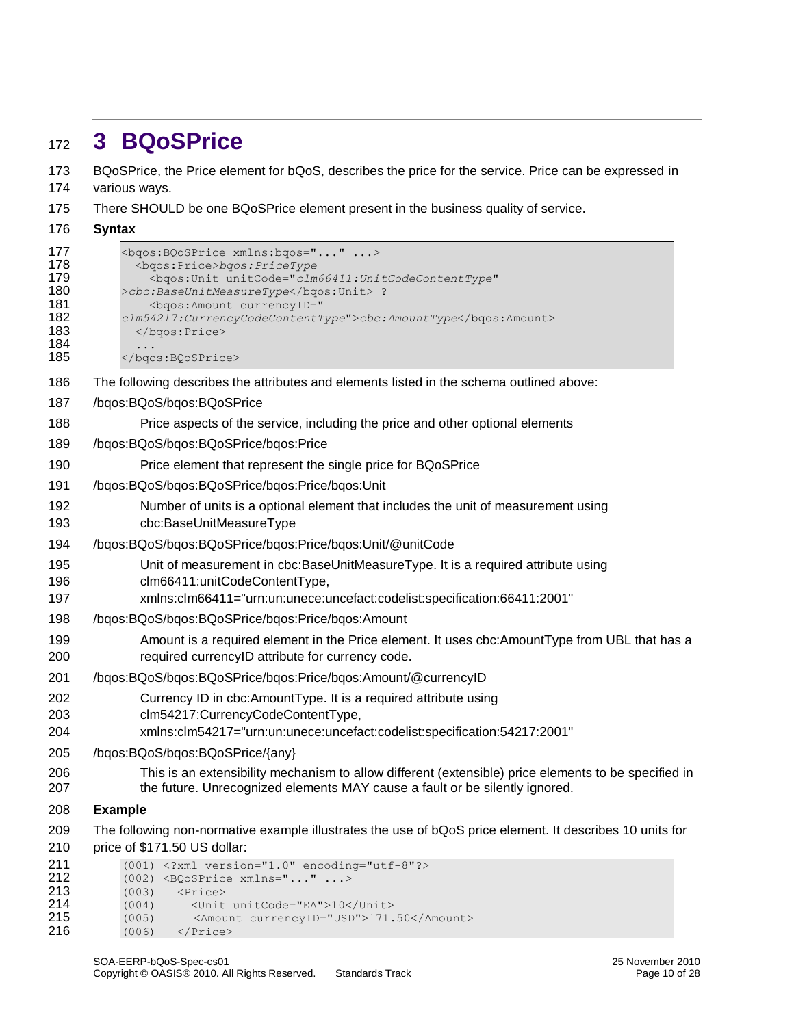# <span id="page-9-0"></span>**3 BQoSPrice**

 BQoSPrice, the Price element for bQoS, describes the price for the service. Price can be expressed in various ways.

- There SHOULD be one BQoSPrice element present in the business quality of service.
- **Syntax**

| 177<br>178<br>179<br>180<br>181<br>182<br>183<br>184<br>185 | <bgos: bgos="" bqosprice="" xmlns:=""><br/><bgos:price>bgos:PriceType<br/><bgos: <br="" unit="" unitcode="clm66411: UnitCodeContentType">&gt;cbc:BaseUnitMeasureType ?<br/><bgos: amount="" currencyid="&lt;br&gt;clm54217: CurrencyCodeContentType">cbc: AmountType<br/><br/></bgos:></bgos:></bgos:price></bgos:> |  |  |
|-------------------------------------------------------------|---------------------------------------------------------------------------------------------------------------------------------------------------------------------------------------------------------------------------------------------------------------------------------------------------------------------|--|--|
| 186                                                         | The following describes the attributes and elements listed in the schema outlined above:                                                                                                                                                                                                                            |  |  |
| 187                                                         | /bqos:BQoS/bqos:BQoSPrice                                                                                                                                                                                                                                                                                           |  |  |
| 188                                                         | Price aspects of the service, including the price and other optional elements                                                                                                                                                                                                                                       |  |  |
| 189                                                         | /bqos:BQoS/bqos:BQoSPrice/bqos:Price                                                                                                                                                                                                                                                                                |  |  |
| 190                                                         | Price element that represent the single price for BQoSPrice                                                                                                                                                                                                                                                         |  |  |
| 191                                                         | /bqos:BQoS/bqos:BQoSPrice/bqos:Price/bqos:Unit                                                                                                                                                                                                                                                                      |  |  |
| 192<br>193                                                  | Number of units is a optional element that includes the unit of measurement using<br>cbc:BaseUnitMeasureType                                                                                                                                                                                                        |  |  |
| 194                                                         | /bqos:BQoS/bqos:BQoSPrice/bqos:Price/bqos:Unit/@unitCode                                                                                                                                                                                                                                                            |  |  |
| 195<br>196<br>197                                           | Unit of measurement in cbc:BaseUnitMeasureType. It is a required attribute using<br>clm66411:unitCodeContentType,<br>xmlns:clm66411="urn:un:unece:uncefact:codelist:specification:66411:2001"                                                                                                                       |  |  |
| 198                                                         | /bqos:BQoS/bqos:BQoSPrice/bqos:Price/bqos:Amount                                                                                                                                                                                                                                                                    |  |  |
| 199<br>200                                                  | Amount is a required element in the Price element. It uses cbc: AmountType from UBL that has a<br>required currencyID attribute for currency code.                                                                                                                                                                  |  |  |
| 201                                                         | /bqos:BQoS/bqos:BQoSPrice/bqos:Price/bqos:Amount/@currencyID                                                                                                                                                                                                                                                        |  |  |
| 202<br>203<br>204                                           | Currency ID in cbc:AmountType. It is a required attribute using<br>clm54217:CurrencyCodeContentType,<br>xmlns:clm54217="urn:un:unece:uncefact:codelist:specification:54217:2001"                                                                                                                                    |  |  |
| 205                                                         | /bqos:BQoS/bqos:BQoSPrice/{any}                                                                                                                                                                                                                                                                                     |  |  |
| 206<br>207                                                  | This is an extensibility mechanism to allow different (extensible) price elements to be specified in<br>the future. Unrecognized elements MAY cause a fault or be silently ignored.                                                                                                                                 |  |  |
| 208                                                         | <b>Example</b>                                                                                                                                                                                                                                                                                                      |  |  |
| 209<br>210                                                  | The following non-normative example illustrates the use of bQoS price element. It describes 10 units for<br>price of \$171.50 US dollar:                                                                                                                                                                            |  |  |
| 211<br>212<br>213<br>214<br>215<br>216                      | (001) xml version="1.0" encoding="utf-8"?<br>$(002)$ <bqosprice xmlns=""><br/>(003)<br/><math>\langle \text{Price} \rangle</math><br/>(004)<br/><unit unitcode="EA">10</unit><br/>(005)<br/><amount currencyid="USD">171.50</amount><br/>(006)<br/></bqosprice>                                                     |  |  |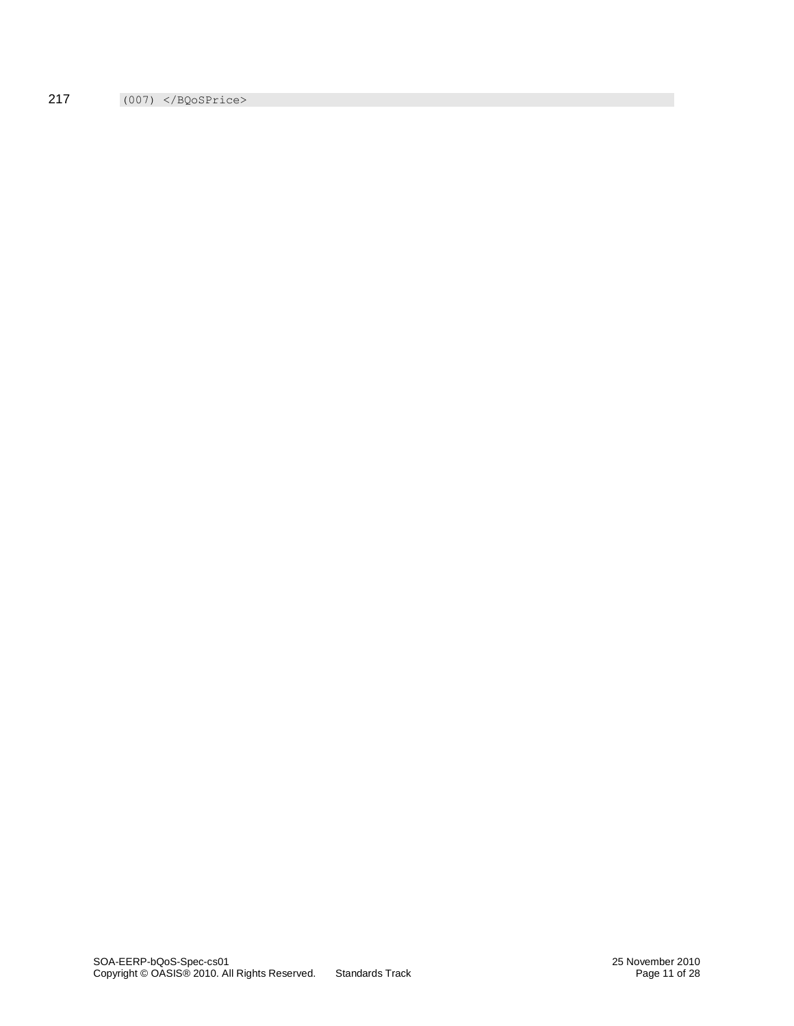217 (007) </BQoSPrice>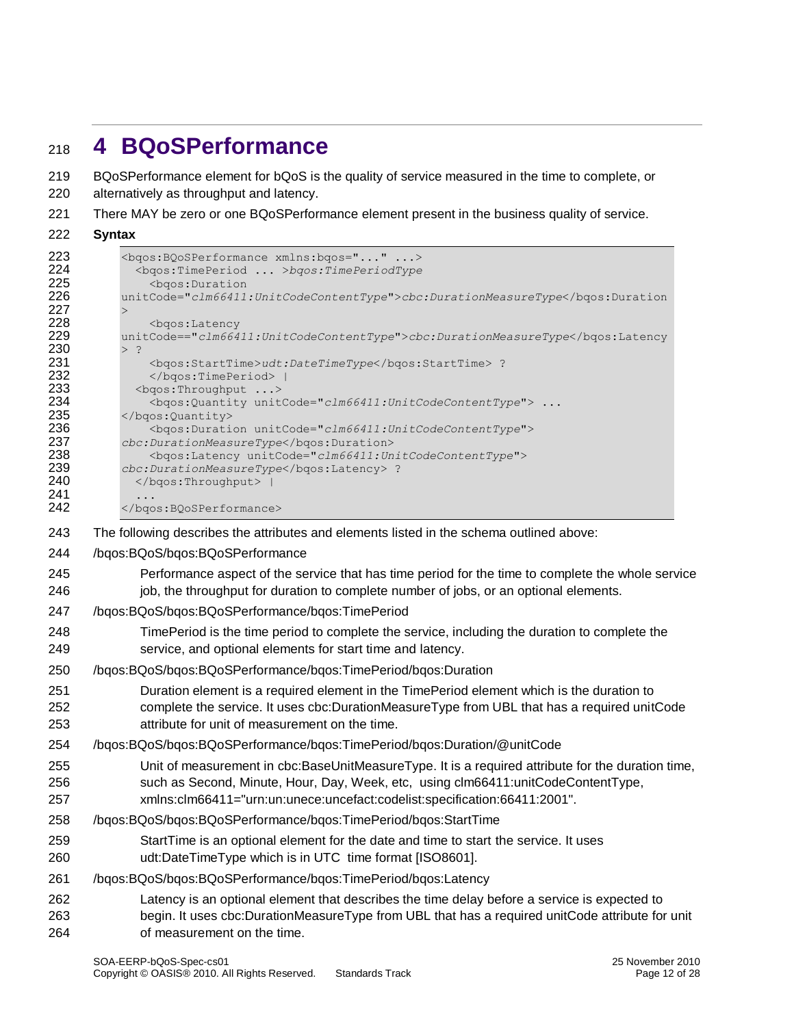# <span id="page-11-0"></span>**4 BQoSPerformance**

BQoSPerformance element for bQoS is the quality of service measured in the time to complete, or

- alternatively as throughput and latency.
- There MAY be zero or one BQoSPerformance element present in the business quality of service.
- **Syntax**

```
223 <br />
<br />
<br />
<br />
<br />
<br />
<br />
<br />
<br />
<br />
<br />
<br />
<br />
<br />
<br />
<br />
<br />
<br />
<br />
<br />
<br />
<br />
<br />
<br />
<br />
<br />
<br />
<br />
<br />
<br />
<br />
<
                    224 <bqos:TimePeriod ... >bqos:TimePeriodType
225 <br />
\leq >>
\leq + \leq + \leq + \leq + \leq + \leq + \leq + \leq + \leq + \leq + \leq + \leq + \leq + \leq + \leq + \leq + \leq + \leq + \leq + \leq + \leq + \leq + \leq + \leq + \leq + \226 unitCode="clm66411:UnitCodeContentType">cbc:DurationMeasureType</bqos:Duration
227 >
228 <bgos:Latency<br>229 unitCode=="clm664
                 229 unitCode=="clm66411:UnitCodeContentType">cbc:DurationMeasureType</bqos:Latency
230 > ?<br>231
                       231 <bqos:StartTime>udt:DateTimeType</bqos:StartTime> ?
232 </bgos:TimePeriod> |
233 <br />
<br />
<br />
<br />
<br />
<br />
<br />
<br />
<br />
<br />
<br />
<br />
<br />
<br />
<br />
<br />
<br />
<br />
<br />
<br />
<br />
<br />
<br />
<br />
<br />
<br />
<br />
<br />
<br />
<br />
<br />
<
                       234 <bqos:Quantity unitCode="clm66411:UnitCodeContentType"> ... 
235 </bgos:Quantity><br>236 <br/>
<br/>
<br/>bgos:Durati
236 <bqos:Duration unitCode="clm66411:UnitCodeContentType"> 
237 cbc:DurationMeasureType</bqos:Duration>
238 <bqos:Latency unitCode="clm66411:UnitCodeContentType"> 
                 239 cbc:DurationMeasureType</bqos:Latency> ?
240 </bgos:Throughput> |
241 ...<br>242 </bqc
                 </bgos:BQoSPerformance>
```
The following describes the attributes and elements listed in the schema outlined above:

- /bqos:BQoS/bqos:BQoSPerformance
- Performance aspect of the service that has time period for the time to complete the whole service 246 job, the throughput for duration to complete number of jobs, or an optional elements.
- /bqos:BQoS/bqos:BQoSPerformance/bqos:TimePeriod
- TimePeriod is the time period to complete the service, including the duration to complete the service, and optional elements for start time and latency.
- /bqos:BQoS/bqos:BQoSPerformance/bqos:TimePeriod/bqos:Duration
- Duration element is a required element in the TimePeriod element which is the duration to complete the service. It uses cbc:DurationMeasureType from UBL that has a required unitCode attribute for unit of measurement on the time.
- /bqos:BQoS/bqos:BQoSPerformance/bqos:TimePeriod/bqos:Duration/@unitCode
- Unit of measurement in cbc:BaseUnitMeasureType. It is a required attribute for the duration time, such as Second, Minute, Hour, Day, Week, etc, using clm66411:unitCodeContentType,
- xmlns:clm66411="urn:un:unece:uncefact:codelist:specification:66411:2001".
- /bqos:BQoS/bqos:BQoSPerformance/bqos:TimePeriod/bqos:StartTime
- StartTime is an optional element for the date and time to start the service. It uses udt:DateTimeType which is in UTC time format [ISO8601].
- /bqos:BQoS/bqos:BQoSPerformance/bqos:TimePeriod/bqos:Latency
- Latency is an optional element that describes the time delay before a service is expected to
- begin. It uses cbc:DurationMeasureType from UBL that has a required unitCode attribute for unit of measurement on the time.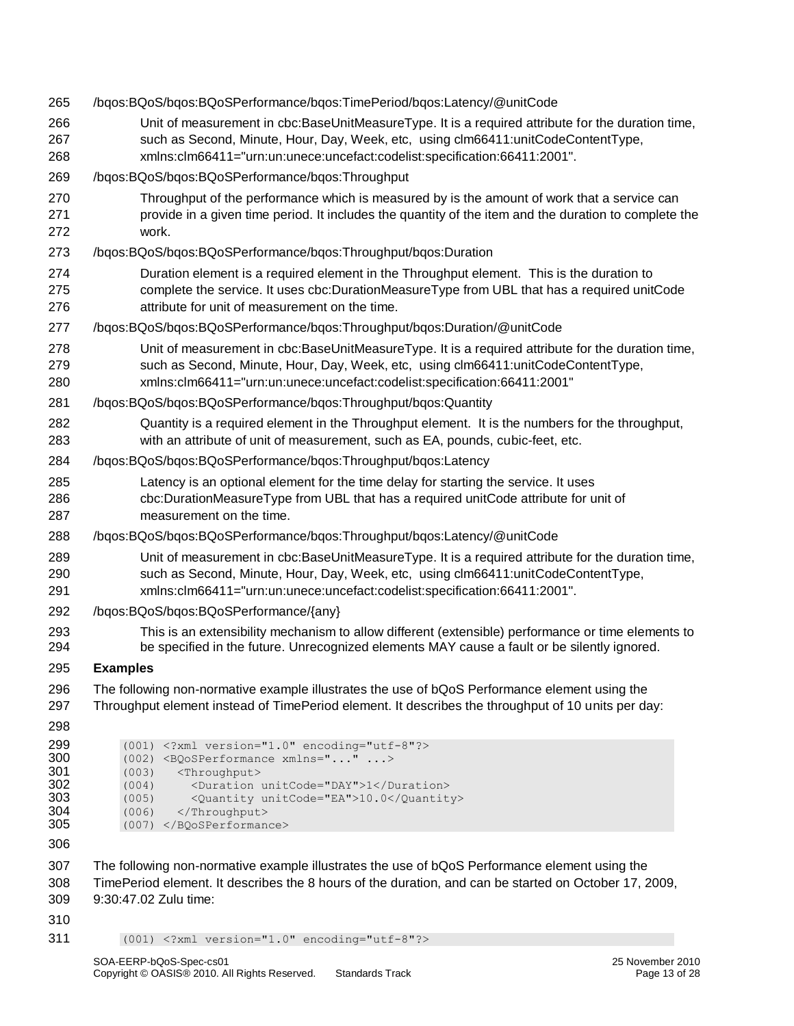| 265                                                         | /bqos:BQoS/bqos:BQoSPerformance/bqos:TimePeriod/bqos:Latency/@unitCode                                                                                                                                                                                                                   |
|-------------------------------------------------------------|------------------------------------------------------------------------------------------------------------------------------------------------------------------------------------------------------------------------------------------------------------------------------------------|
| 266<br>267<br>268                                           | Unit of measurement in cbc:BaseUnitMeasureType. It is a required attribute for the duration time,<br>such as Second, Minute, Hour, Day, Week, etc, using clm66411:unitCodeContentType,<br>xmlns:clm66411="urn:un:unece:uncefact:codelist:specification:66411:2001".                      |
| 269                                                         | /bqos:BQoS/bqos:BQoSPerformance/bqos:Throughput                                                                                                                                                                                                                                          |
| 270<br>271<br>272                                           | Throughput of the performance which is measured by is the amount of work that a service can<br>provide in a given time period. It includes the quantity of the item and the duration to complete the<br>work.                                                                            |
| 273                                                         | /bqos:BQoS/bqos:BQoSPerformance/bqos:Throughput/bqos:Duration                                                                                                                                                                                                                            |
| 274<br>275<br>276                                           | Duration element is a required element in the Throughput element. This is the duration to<br>complete the service. It uses cbc:DurationMeasureType from UBL that has a required unitCode<br>attribute for unit of measurement on the time.                                               |
| 277                                                         | /bqos:BQoS/bqos:BQoSPerformance/bqos:Throughput/bqos:Duration/@unitCode                                                                                                                                                                                                                  |
| 278<br>279<br>280                                           | Unit of measurement in cbc:BaseUnitMeasureType. It is a required attribute for the duration time,<br>such as Second, Minute, Hour, Day, Week, etc, using clm66411:unitCodeContentType,<br>xmlns:clm66411="urn:un:unece:uncefact:codelist:specification:66411:2001"                       |
| 281                                                         | /bqos:BQoS/bqos:BQoSPerformance/bqos:Throughput/bqos:Quantity                                                                                                                                                                                                                            |
| 282<br>283                                                  | Quantity is a required element in the Throughput element. It is the numbers for the throughput,<br>with an attribute of unit of measurement, such as EA, pounds, cubic-feet, etc.                                                                                                        |
| 284                                                         | /bqos:BQoS/bqos:BQoSPerformance/bqos:Throughput/bqos:Latency                                                                                                                                                                                                                             |
| 285<br>286<br>287                                           | Latency is an optional element for the time delay for starting the service. It uses<br>cbc:DurationMeasureType from UBL that has a required unitCode attribute for unit of<br>measurement on the time.                                                                                   |
| 288                                                         | /bqos:BQoS/bqos:BQoSPerformance/bqos:Throughput/bqos:Latency/@unitCode                                                                                                                                                                                                                   |
| 289<br>290<br>291                                           | Unit of measurement in cbc:BaseUnitMeasureType. It is a required attribute for the duration time,<br>such as Second, Minute, Hour, Day, Week, etc, using clm66411:unitCodeContentType,<br>xmlns:clm66411="urn:un:unece:uncefact:codelist:specification:66411:2001".                      |
| 292                                                         | /bqos:BQoS/bqos:BQoSPerformance/{any}                                                                                                                                                                                                                                                    |
| 293<br>294                                                  | This is an extensibility mechanism to allow different (extensible) performance or time elements to<br>be specified in the future. Unrecognized elements MAY cause a fault or be silently ignored.                                                                                        |
| 295                                                         | <b>Examples</b>                                                                                                                                                                                                                                                                          |
| 296<br>297                                                  | The following non-normative example illustrates the use of bQoS Performance element using the<br>Throughput element instead of TimePeriod element. It describes the throughput of 10 units per day:                                                                                      |
| 298<br>299<br>300<br>301<br>302<br>303<br>304<br>305<br>306 | (001) xml version="1.0" encoding="utf-8"?<br>(002) <bqosperformance xmlns=""><br/>(003)<br/><throughput><br/><duration unitcode="DAY">1</duration><br/>(004)<br/>(005)<br/><quantity unitcode="EA">10.0</quantity><br/>(006)<br/></throughput><br/><math>(007)</math> </bqosperformance> |
| 307<br>308<br>309<br>310                                    | The following non-normative example illustrates the use of bQoS Performance element using the<br>TimePeriod element. It describes the 8 hours of the duration, and can be started on October 17, 2009,<br>9:30:47.02 Zulu time:                                                          |
| 311                                                         | (001) xml version="1.0" encoding="utf-8"?                                                                                                                                                                                                                                                |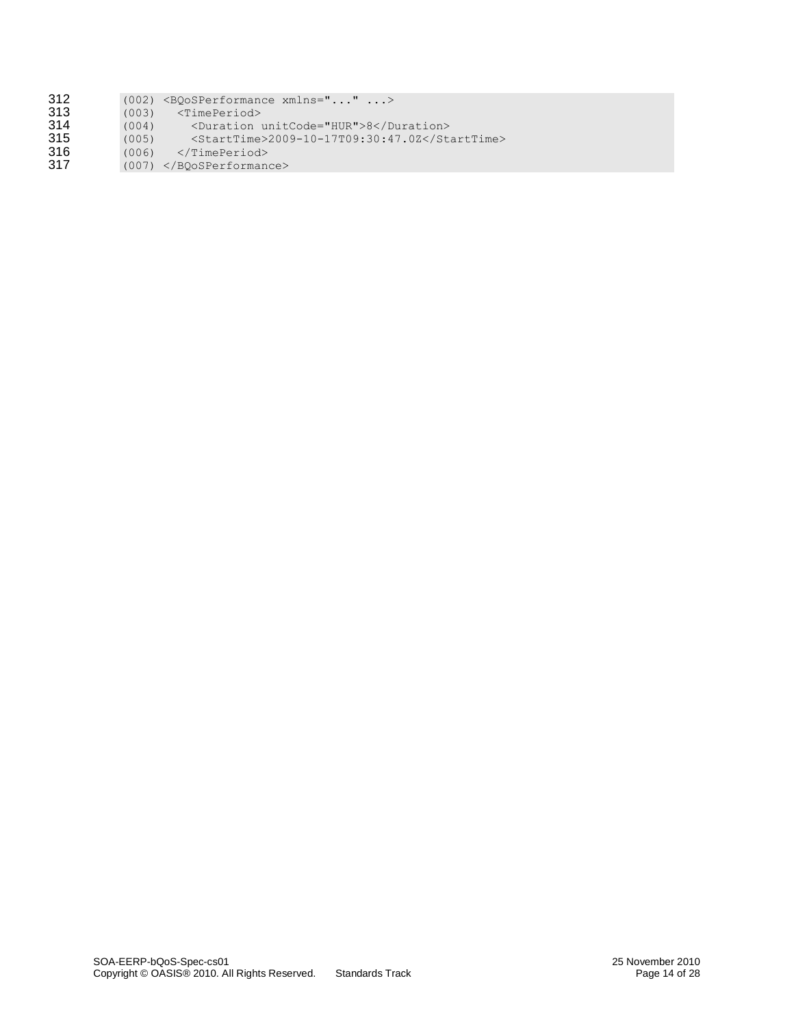| 312 |  | $(002)$ <boosperformance xmlns=""></boosperformance> |  |  |
|-----|--|------------------------------------------------------|--|--|
|-----|--|------------------------------------------------------|--|--|

- **313** (003) <TimePeriod><br> **314** (004) <Duration u<br> **315** (005) <StartTime>
- 314 (004) <Duration unitCode="HUR">8</Duration>
- 315 (005) <StartTime>2009-10-17T09:30:47.0Z</StartTime>
- 316 (006) </TimePeriod><br>317 (007) </RQoSPerformand
- 317 (007) </BQoSPerformance>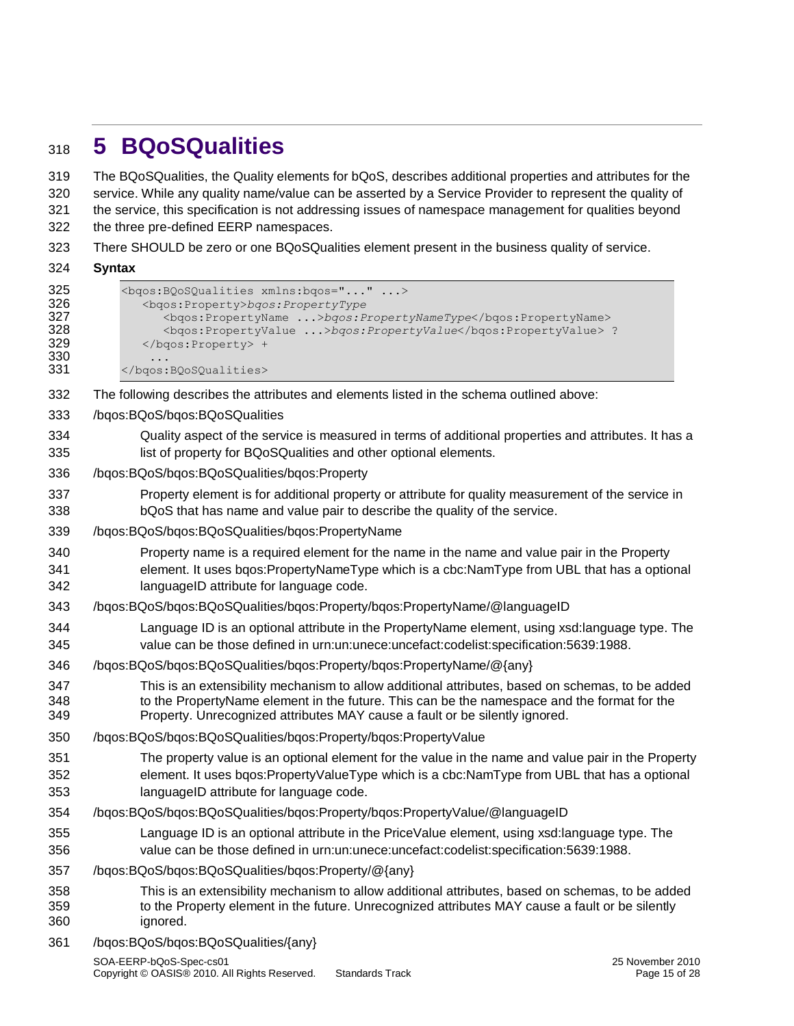# <span id="page-14-0"></span>**5 BQoSQualities**

 The BQoSQualities, the Quality elements for bQoS, describes additional properties and attributes for the service. While any quality name/value can be asserted by a Service Provider to represent the quality of the service, this specification is not addressing issues of namespace management for qualities beyond the three pre-defined EERP namespaces.

There SHOULD be zero or one BQoSQualities element present in the business quality of service.

#### **Syntax**

```
325 <bgos:BQoSQualities xmlns:bgos="..." ...>
326 <bqos:Property>bqos:PropertyType
327 <bqos:PropertyName ...>bqos:PropertyNameType</bqos:PropertyName>
                 328 <bqos:PropertyValue ...>bqos:PropertyValue</bqos:PropertyValue> ?
329 </bgos:Property> +
330 ...<br>331 </bgos:
          331 </bqos:BQoSQualities>
332 The following describes the attributes and elements listed in the schema outlined above:
333 /bqos:BQoS/bqos:BQoSQualities
334 Quality aspect of the service is measured in terms of additional properties and attributes. It has a 
335 list of property for BQoSQualities and other optional elements.
336 /bqos:BQoS/bqos:BQoSQualities/bqos:Property
337 Property element is for additional property or attribute for quality measurement of the service in 
338 bQoS that has name and value pair to describe the quality of the service.
339 /bqos:BQoS/bqos:BQoSQualities/bqos:PropertyName 
340 Property name is a required element for the name in the name and value pair in the Property 
341 element. It uses bqos:PropertyNameType which is a cbc:NamType from UBL that has a optional 
342 languageID attribute for language code. 
343 /bqos:BQoS/bqos:BQoSQualities/bqos:Property/bqos:PropertyName/@languageID 
344 Language ID is an optional attribute in the PropertyName element, using xsd:language type. The 
345 value can be those defined in urn:un:unece:uncefact:codelist:specification:5639:1988. 
346 /bqos:BQoS/bqos:BQoSQualities/bqos:Property/bqos:PropertyName/@{any}
347 This is an extensibility mechanism to allow additional attributes, based on schemas, to be added 
348 to the PropertyName element in the future. This can be the namespace and the format for the 
349 Property. Unrecognized attributes MAY cause a fault or be silently ignored. 
350 /bqos:BQoS/bqos:BQoSQualities/bqos:Property/bqos:PropertyValue 
351 The property value is an optional element for the value in the name and value pair in the Property 
352 element. It uses bqos:PropertyValueType which is a cbc:NamType from UBL that has a optional 
353 languageID attribute for language code. 
354 /bqos:BQoS/bqos:BQoSQualities/bqos:Property/bqos:PropertyValue/@languageID 
355 Language ID is an optional attribute in the PriceValue element, using xsd:language type. The 
356 value can be those defined in urn:un:unece:uncefact:codelist:specification:5639:1988.
```
/bqos:BQoS/bqos:BQoSQualities/bqos:Property/@{any}

 This is an extensibility mechanism to allow additional attributes, based on schemas, to be added to the Property element in the future. Unrecognized attributes MAY cause a fault or be silently ignored.

/bqos:BQoS/bqos:BQoSQualities/{any}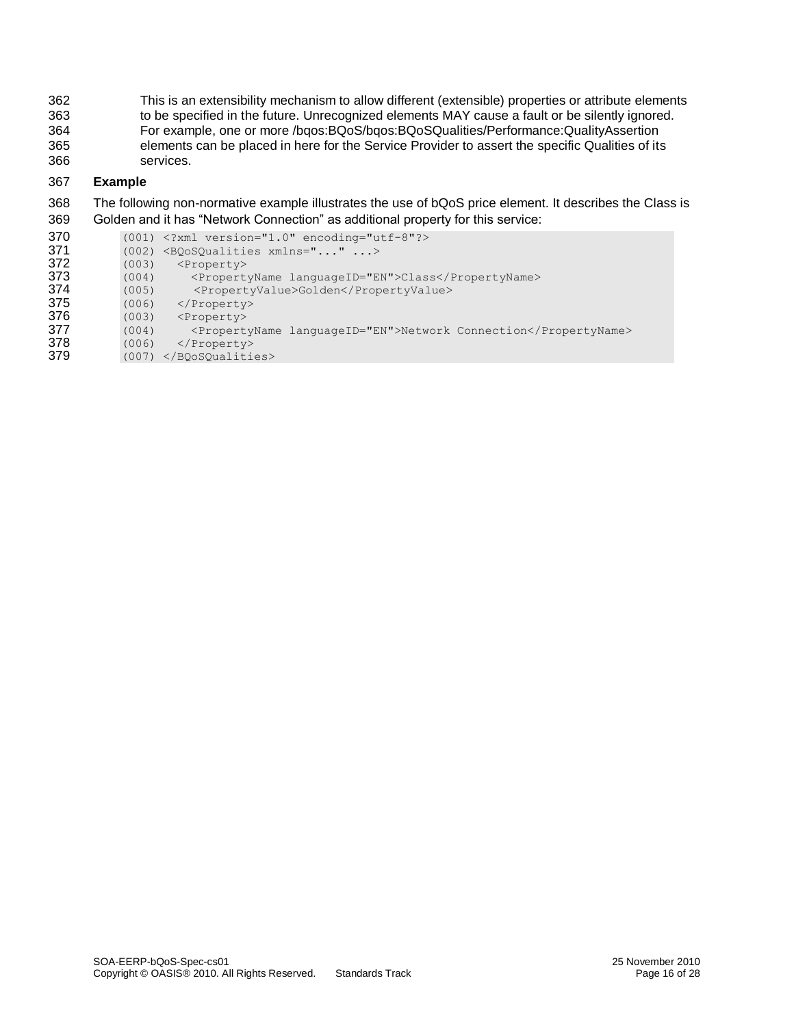This is an extensibility mechanism to allow different (extensible) properties or attribute elements to be specified in the future. Unrecognized elements MAY cause a fault or be silently ignored. For example, one or more /bqos:BQoS/bqos:BQoSQualities/Performance:QualityAssertion elements can be placed in here for the Service Provider to assert the specific Qualities of its services.

#### 367 **Example**

- 368 The following non-normative example illustrates the use of bQoS price element. It describes the Class is 369 Golden and it has "Network Connection" as additional property for this service:
- 370 (001) <?xml version="1.0" encoding="utf-8"?><br>371 (002) <Boosoualities xmlns="..." ...> 371 (002)  $\langle BQoSQualities xmlns="... " ... >$ <br>372 (003)  $\langle Property \rangle$ 372 (003) <Property><br>373 (004) <Propert 373 (004) <PropertyName languageID="EN">Class</PropertyName> 374 (005) <PropertyValue>Golden</PropertyValue> 375 (006) </Property><br>376 (003) <Property> (003) <Property> 377 (004) <PropertyName languageID="EN">Network Connection</PropertyName><br>378 (006) </Property> 378 (006) </Property><br>379 (007) </BOoSOualitie 379 (007) </BQoSQualities>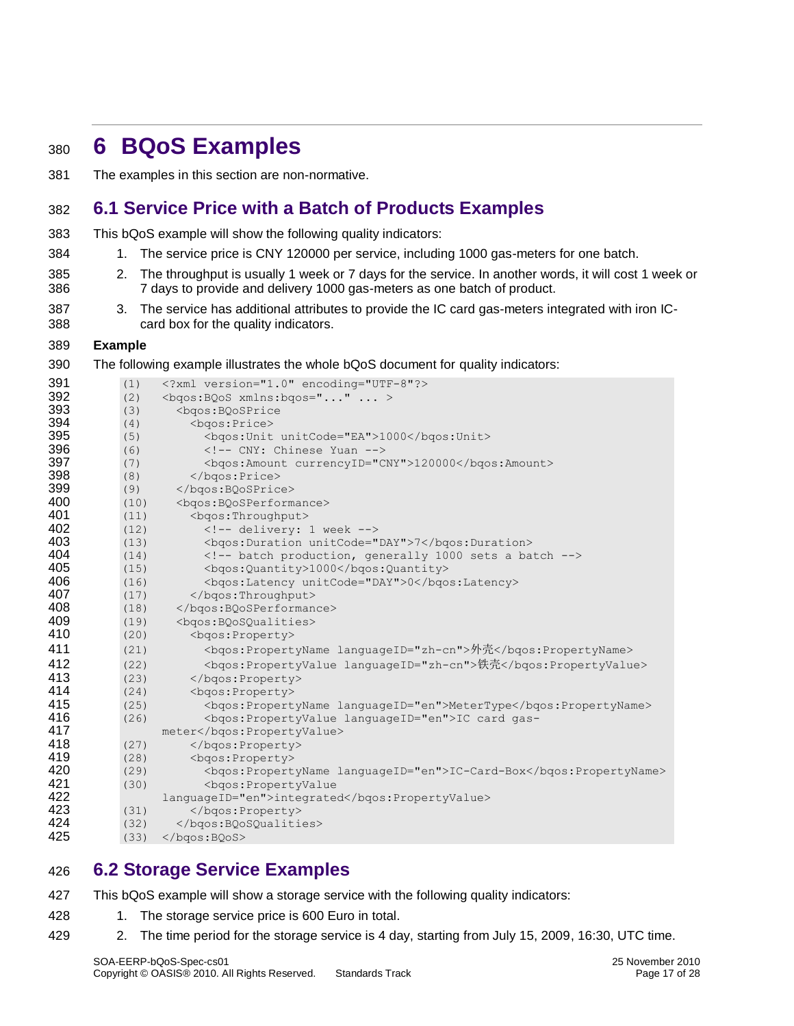# <span id="page-16-0"></span>**6 BQoS Examples**

The examples in this section are non-normative.

### <span id="page-16-1"></span>**6.1 Service Price with a Batch of Products Examples**

- This bQoS example will show the following quality indicators:
- 384 1. The service price is CNY 120000 per service, including 1000 gas-meters for one batch.
- 2. The throughput is usually 1 week or 7 days for the service. In another words, it will cost 1 week or 7 days to provide and delivery 1000 gas-meters as one batch of product.
- 387 387 3. The service has additional attributes to provide the IC card gas-meters integrated with iron IC-card box for the quality indicators.

#### **Example**

The following example illustrates the whole bQoS document for quality indicators:

| 391 | (1)  | xml version="1.0" encoding="UTF-8"?                                   |
|-----|------|-----------------------------------------------------------------------|
| 392 | (2)  | <bgos: bqos="" xmlns:=""></bgos:>                                     |
| 393 | (3)  | <bgos:bqosprice< th=""></bgos:bqosprice<>                             |
| 394 | (4)  | <bgos:price></bgos:price>                                             |
| 395 | (5)  | <bgos: unit="" unitcode="EA">1000</bgos:>                             |
| 396 | (6)  | CNY: Chinese Yuan                                                     |
| 397 | (7)  | <bgos:amount currencyid="CNY">120000</bgos:amount>                    |
| 398 | (8)  |                                                                       |
| 399 | (9)  |                                                                       |
| 400 | (10) | <bgos:bqosperformance></bgos:bqosperformance>                         |
| 401 | (11) | <bgos:throughput></bgos:throughput>                                   |
| 402 | (12) | $\langle$ !-- delivery: 1 week -->                                    |
| 403 | (13) | <bgos: duration="" unitcode="DAY">7</bgos:>                           |
| 404 | (14) | batch production, generally 1000 sets a batch                         |
| 405 | (15) | <bgos:quantity>1000</bgos:quantity>                                   |
| 406 | (16) | <bgos:latency unitcode="DAY">0</bgos:latency>                         |
| 407 | (17) |                                                                       |
| 408 | (18) |                                                                       |
| 409 | (19) | <bgos: bqosqualities=""></bgos:>                                      |
| 410 | (20) | <bgos:property></bgos:property>                                       |
| 411 | (21) | <bgos:propertyname languageid="zh-cn">外壳</bgos:propertyname>          |
| 412 | (22) | <bgos:propertyvalue languageid="zh-cn">铁壳</bgos:propertyvalue>        |
| 413 | (23) |                                                                       |
| 414 | (24) | <bgos:property></bgos:property>                                       |
| 415 | (25) | <bgos:propertyname languageid="en">MeterType</bgos:propertyname>      |
| 416 | (26) | <bgos:propertyvalue languageid="en">IC card gas-</bgos:propertyvalue> |
| 417 |      | meter                                                                 |
| 418 | (27) |                                                                       |
| 419 | (28) | <bgos:property></bgos:property>                                       |
| 420 | (29) |                                                                       |
| 421 | (30) | <bdos:propertyvalue< th=""></bdos:propertyvalue<>                     |
| 422 |      | languageID="en">integrated                                            |
| 423 | (31) |                                                                       |
| 424 | (32) |                                                                       |
| 425 | (33) | $\langle \text{logos:BOoS} \rangle$                                   |

### <span id="page-16-2"></span>**6.2 Storage Service Examples**

- This bQoS example will show a storage service with the following quality indicators:
- 428 1. The storage service price is 600 Euro in total.
- 2. The time period for the storage service is 4 day, starting from July 15, 2009, 16:30, UTC time.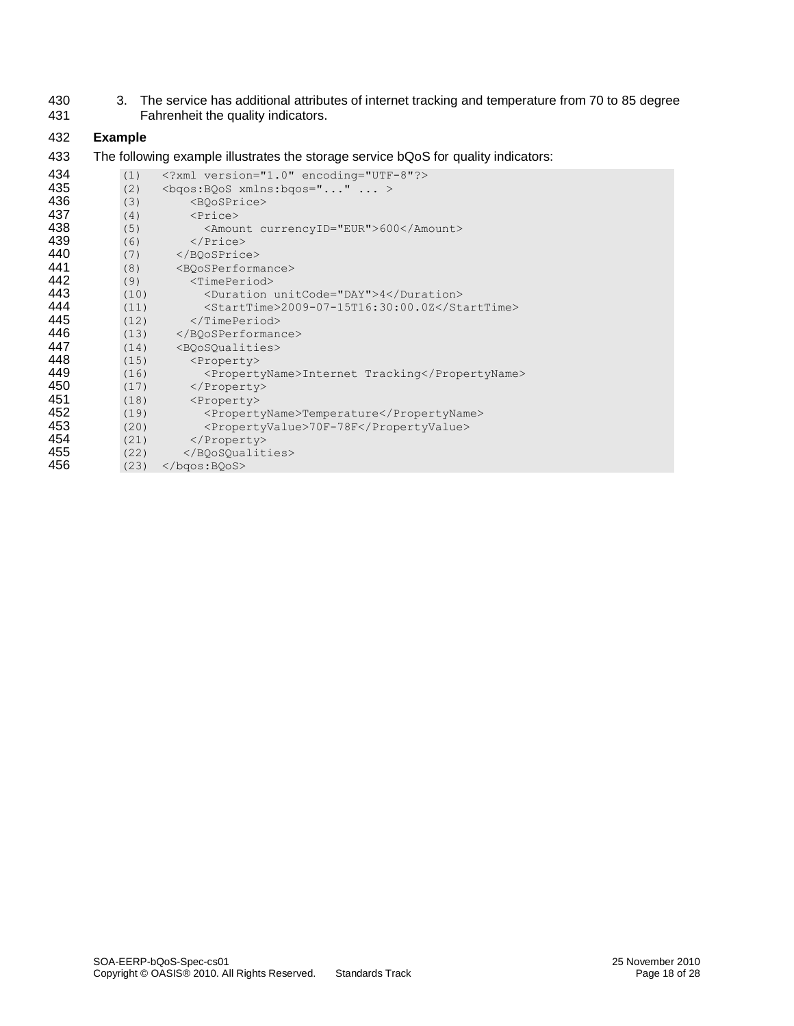430 3. The service has additional attributes of internet tracking and temperature from 70 to 85 degree<br>431 Fahrenheit the quality indicators. Fahrenheit the quality indicators.

#### 432 **Example**

433 The following example illustrates the storage service bQoS for quality indicators:

| 434 | (1)  | xml version="1.0" encoding="UTF-8"?            |
|-----|------|------------------------------------------------|
| 435 | (2)  | $\langle$ bqos: BQoS xmlns: bqos=""  >         |
| 436 | (3)  | <boosprice></boosprice>                        |
| 437 | (4)  | $\langle \text{Price} \rangle$                 |
| 438 | (5)  | <amount currencyid="EUR">600</amount>          |
| 439 | (6)  | $\langle$ /Price>                              |
| 440 | (7)  |                                                |
| 441 | (8)  | <boosperformance></boosperformance>            |
| 442 | (9)  | $<$ TimePeriod $>$                             |
| 443 | (10) | <duration unitcode="DAY">4</duration>          |
| 444 | (11) | <starttime>2009-07-15T16:30:00.0Z</starttime>  |
| 445 | (12) | $\langle$ /TimePeriod>                         |
| 446 | (13) |                                                |
| 447 | (14) | <boosoualities></boosoualities>                |
| 448 | (15) | <property></property>                          |
| 449 | (16) | <propertyname>Internet Tracking</propertyname> |
| 450 | (17) |                                                |
| 451 | (18) | <property></property>                          |
| 452 | (19) | <propertyname>Temperature</propertyname>       |
| 453 | (20) | <propertyvalue>70F-78F</propertyvalue>         |
| 454 | (21) |                                                |
| 455 | (22) |                                                |
| 456 | (23) | $\langle \text{logos:BOoS} \rangle$            |
|     |      |                                                |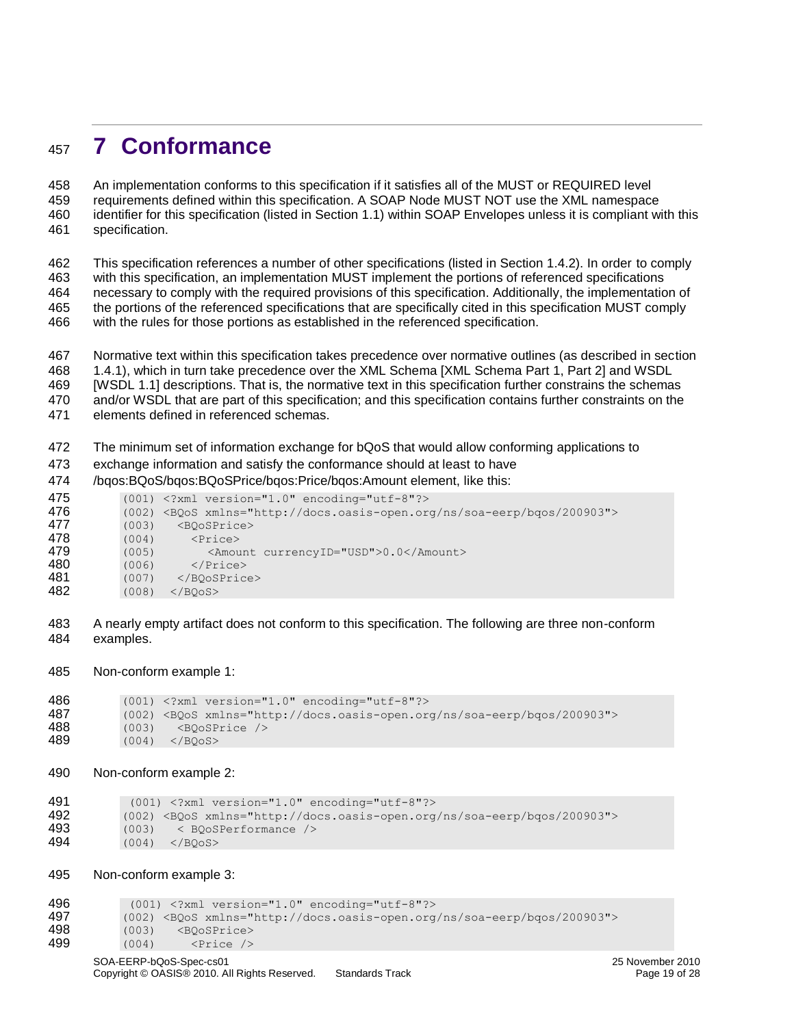# <span id="page-18-0"></span>**7 Conformance**

 An implementation conforms to this specification if it satisfies all of the MUST or REQUIRED level requirements defined within this specification. A SOAP Node MUST NOT use the XML namespace identifier for this specification (listed in Section 1.1) within SOAP Envelopes unless it is compliant with this specification.

 This specification references a number of other specifications (listed in Section 1.4.2). In order to comply with this specification, an implementation MUST implement the portions of referenced specifications necessary to comply with the required provisions of this specification. Additionally, the implementation of the portions of the referenced specifications that are specifically cited in this specification MUST comply with the rules for those portions as established in the referenced specification.

Normative text within this specification takes precedence over normative outlines (as described in section

1.4.1), which in turn take precedence over the XML Schema [XML Schema Part 1, Part 2] and WSDL

[WSDL 1.1] descriptions. That is, the normative text in this specification further constrains the schemas

and/or WSDL that are part of this specification; and this specification contains further constraints on the

elements defined in referenced schemas.

The minimum set of information exchange for bQoS that would allow conforming applications to

exchange information and satisfy the conformance should at least to have

/bqos:BQoS/bqos:BQoSPrice/bqos:Price/bqos:Amount element, like this:

| 475 |       | $(001)$ xml version="1.0" encoding="utf-8"?                                    |
|-----|-------|--------------------------------------------------------------------------------|
| 476 |       | (002) <bqos xmlns="http://docs.oasis-open.org/ns/soa-eerp/bqos/200903"></bqos> |
| 477 | (003) | <boosprice></boosprice>                                                        |
| 478 | (004) | $\langle \text{Price} \rangle$                                                 |
| 479 | (005) | <amount currencyid="USD">0.0</amount>                                          |
| 480 | (006) | $\langle$ /Price>                                                              |
| 481 | (007) |                                                                                |
| 482 | (008) | $\langle$ /BOoS $>$                                                            |
|     |       |                                                                                |

 A nearly empty artifact does not conform to this specification. The following are three non-conform examples.

Non-conform example 1:

```
486 (001) <?xml version="1.0" encoding="utf-8"?>
487 (002) <BQoS xmlns="http://docs.oasis-open.org/ns/soa-eerp/bqos/200903">
488 (003) <BQoSPrice /><br>489 (004) </BOoS>
          (004) </BQoS>
```
Non-conform example 2:

```
491 (001) <?xml version="1.0" encoding="utf-8"?><br>492 (002) <BOoS xmlns="http://docs.oasis-open.org
            492 (002) <BQoS xmlns="http://docs.oasis-open.org/ns/soa-eerp/bqos/200903">
493 (003) < BQoSPerformance />
494 (004) </BQoS>
```
Non-conform example 3:

(001) <?xml version="1.0" encoding="utf-8"?>

```
497 (002) <BQoS xmlns="http://docs.oasis-open.org/ns/soa-eerp/bqos/200903">
```
- 498 (003) <BQoSPrice><br>499 (004) <Price />
- (004) <Price />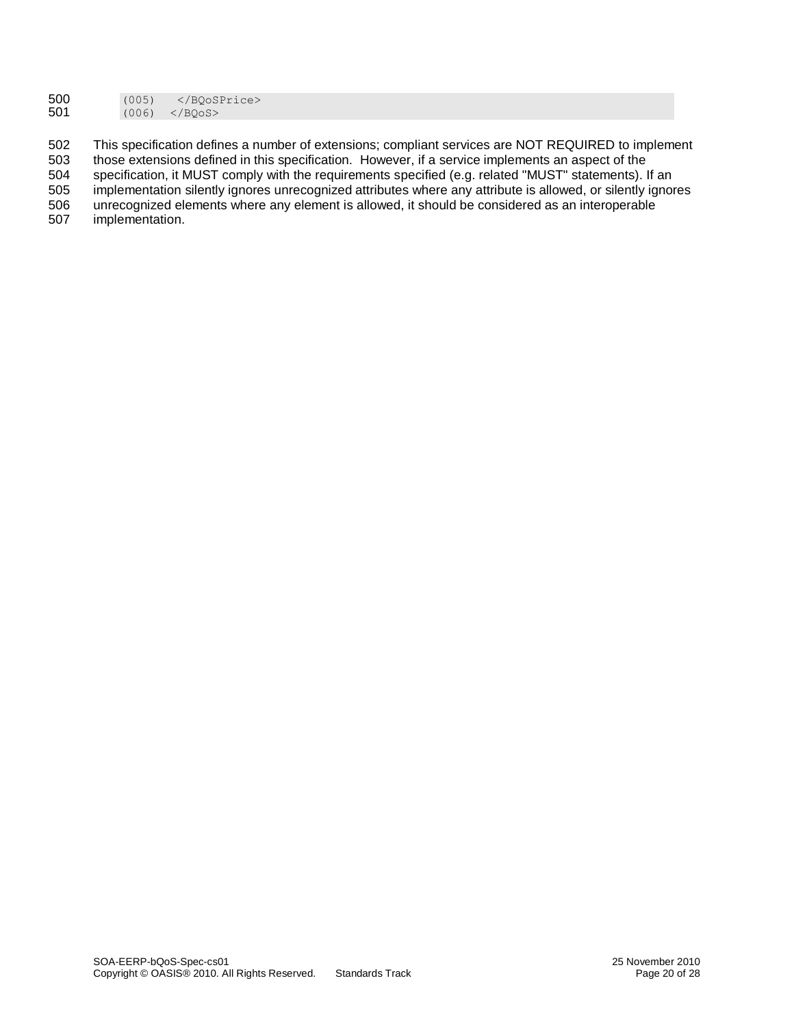| 500 | (005) |                     |
|-----|-------|---------------------|
| 501 | (006) | $\langle$ /BOoS $>$ |

502 This specification defines a number of extensions; compliant services are NOT REQUIRED to implement 503 those extensions defined in this specification. However, if a service implements an aspect of the those extensions defined in this specification. However, if a service implements an aspect of the 504 specification, it MUST comply with the requirements specified (e.g. related "MUST" statements). If an 505 implementation silently ignores unrecognized attributes where any attribute is allowed, or silently ignor implementation silently ignores unrecognized attributes where any attribute is allowed, or silently ignores 506 unrecognized elements where any element is allowed, it should be considered as an interoperable 507 implementation.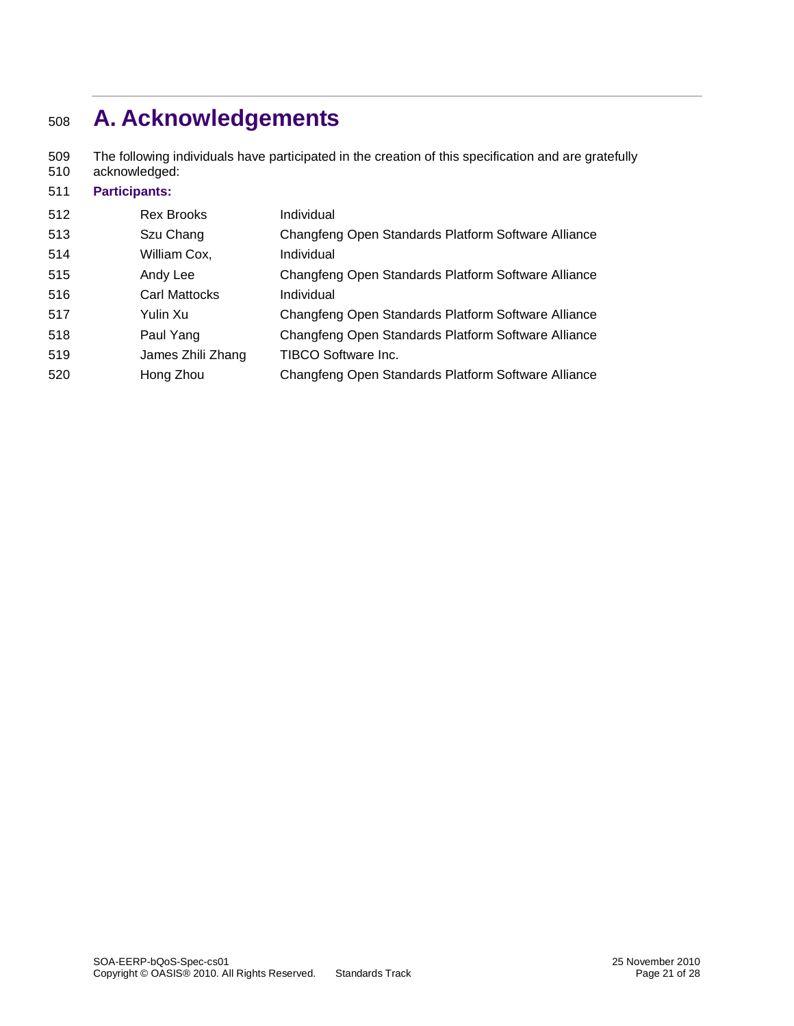# <span id="page-20-0"></span>**A. Acknowledgements**

 The following individuals have participated in the creation of this specification and are gratefully acknowledged:

### **Participants:** Rex Brooks Individual Szu Chang Changfeng Open Standards Platform Software Alliance 514 William Cox, Individual Andy Lee Changfeng Open Standards Platform Software Alliance Carl Mattocks Individual Yulin Xu Changfeng Open Standards Platform Software Alliance Paul Yang Changfeng Open Standards Platform Software Alliance James Zhili Zhang TIBCO Software Inc. Hong Zhou Changfeng Open Standards Platform Software Alliance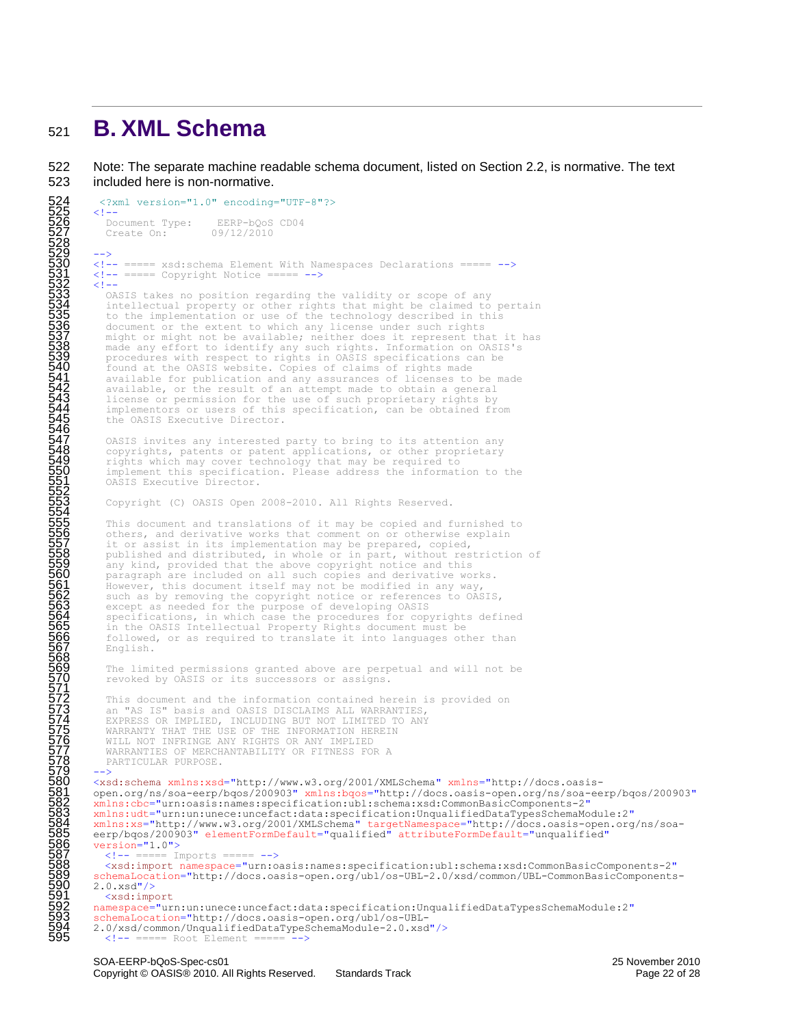### <span id="page-21-0"></span><sup>521</sup> **B. XML Schema**

546

554

568

571

522 Note: The separate machine readable schema document, listed on Section 2.2, is normative. The text 523 included here is non-normative.

```
52 \times ?xml version="1.0" encoding="UTF-8"?>
\frac{525}{2} <!--
          Document Type: EERP-bQoS CD04<br>Create On: 09/12/2010
           Create On:
528
529 -->
530 <!-- ===== xsd:schema Element With Namespaces Declarations ===== --><br>531 <!-- ===== Copyright Notice ===== -->
532 <!--
          OASIS takes no position regarding the validity or scope of any
           intellectual property or other rights that might be claimed to pertain
535 to the implementation or use of the technology described in this
536 document or the extent to which any license under such rights
          might or might not be available; neither does it represent that it has
           made any effort to identify any such rights. Information on OASIS's
           procedures with respect to rights in OASIS specifications can be
540 found at the OASIS website. Copies of claims of rights made<br>
541 available for publication and any assurances of licenses to<br>
542 available, or the result of an attempt made to obtain a general<br>
1 icense or permission 
           available for publication and any assurances of licenses to be made
           available, or the result of an attempt made to obtain a general
           license or permission for the use of such proprietary rights by
           implementors or users of this specification, can be obtained from
           the OASIS Executive Director.
           OASIS invites any interested party to bring to its attention any
548 copyrights, patents or patent applications, or other proprietary rights which may cover technology that may be required to
           implement this specification. Please address the information to the
           OASIS Executive Director.
552 
           Copyright (C) OASIS Open 2008-2010. All Rights Reserved.
           This document and translations of it may be copied and furnished to
           others, and derivative works that comment on or otherwise explain
557 it or assist in its implementation may be prepared, copied,<br>558 published and distributed, in whole or in part, without restriction of
           any kind, provided that the above copyright notice and this
560 paragraph are included on all such copies and derivative works.
561 However, this document itself may not be modified in any way,
562 such as by removing the copyright notice or references to OASIS,<br>563 except as needed for the purpose of developing OASIS
564 specifications, in which case the procedures for copyrights defined in the OASIS Intellectual Property Rights document must be
           566 followed, or as required to translate it into languages other than 
           English.
           The limited permissions granted above are perpetual and will not be
           revoked by OASIS or its successors or assigns.
           This document and the information contained herein is provided on
           an "AS IS" basis and OASIS DISCLAIMS ALL WARRANTIES,
           EXPRESS OR IMPLIED, INCLUDING BUT NOT LIMITED TO ANY
575 WARRANTY THAT THE USE OF THE INFORMATION HEREIN<br>576 WILL NOT INFRINGE ANY RIGHTS OR ANY IMPLIED
           WARRANTIES OF MERCHANTABILITY OR FITNESS FOR A
           PARTICULAR PURPOSE.
579 -->
        580 <xsd:schema xmlns:xsd="http://www.w3.org/2001/XMLSchema" xmlns="http://docs.oasis-
581 open.org/ns/soa-eerp/bqos/200903" xmlns:bqos="http://docs.oasis-open.org/ns/soa-eerp/bqos/200903"
582 xmlns:cbc="urn:oasis:names:specification:ubl:schema:xsd:CommonBasicComponents-2"
        583 xmlns:udt="urn:un:unece:uncefact:data:specification:UnqualifiedDataTypesSchemaModule:2"
584 xmlns:xs="http://www.w3.org/2001/XMLSchema" targetNamespace="http://docs.oasis-open.org/ns/soa-
585 eerp/bqos/200903" elementFormDefault="qualified" attributeFormDefault="unqualified"
        version="1.0">
           s!=- ===== Imports ===== -->
%588 <xsd:import namespace="urn:oasis:names:specification:ubl:schema:xsd:CommonBasicComponents-2"<br>schemalocation="http://docs.oasis-open.org/ubl/os-UBL-2.0/xsd/common/UBL-CommonBasicComponents<br>590 2.0.xsd"/><br>mamespace="urn
        589 schemaLocation="http://docs.oasis-open.org/ubl/os-UBL-2.0/xsd/common/UBL-CommonBasicComponents-
        2.0.xsd"/>
           591 <xsd:import
        592 namespace="urn:un:unece:uncefact:data:specification:UnqualifiedDataTypesSchemaModule:2"
593 schemaLocation="http://docs.oasis-open.org/ubl/os-UBL-
594 2.0/xsd/common/UnqualifiedDataTypeSchemaModule-2.0.xsd"/>
595 <!-- ===== Root Element ===== -->
```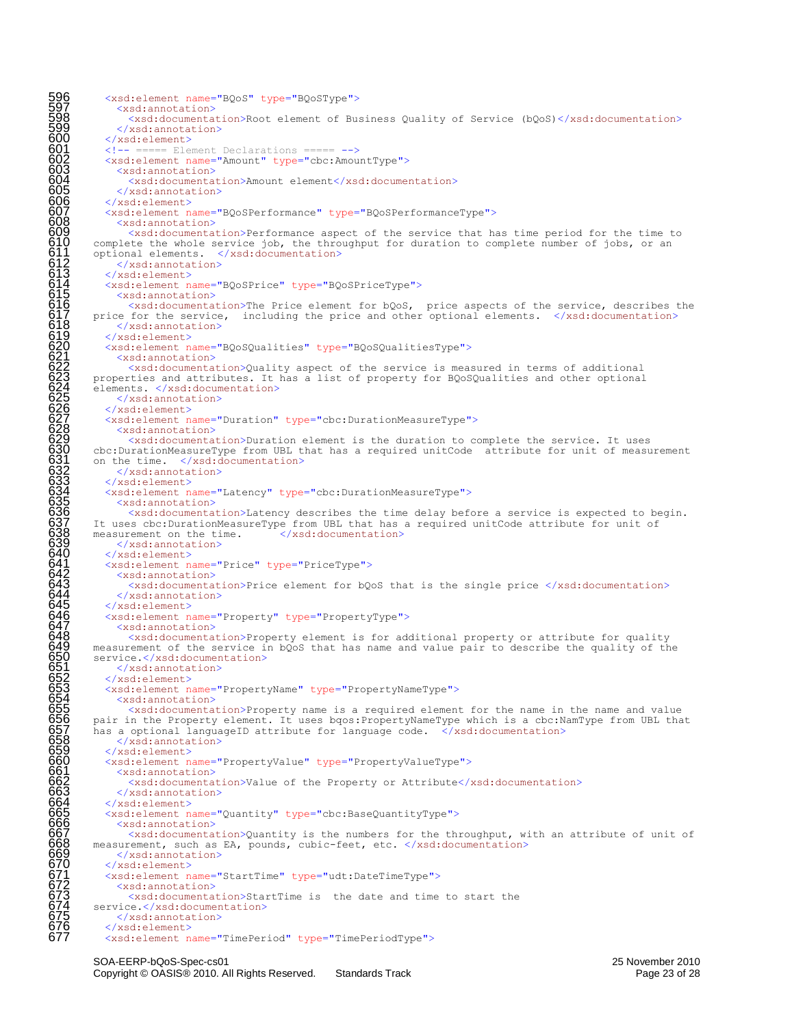596 <xsd:element name="BQoS" type="BQoSType"><br>597 <xsd:annotation><br>598 <xsd:documentation>Root element of Bu:<br>599 </xsd:annotation><br>600 </xsd:element> <xsd:annotation> 598 <xsd:documentation>Root element of Business Quality of Service (bQoS)</xsd:documentation> 599 </xsd:annotation> 600 </xsd:element><br>601 <!-- ===== Element<br>602 <xsd:element n<br>603 <xsd:annotat: ===== Element Declarations ===== --> 602 <xsd:element name="Amount" type="cbc:AmountType"> 603 <xsd:annotation><br>604 <xsd:documenta 604 <xsd:documentation>Amount element</xsd:documentation><br>605 </xsd:annotation><br>606 </xsd:element> </xsd:annotation> 606 </xsd:element><br>607 <xsd:element n<br>608 <xsd:annotat 607 <xsd:element name="BQoSPerformance" type="BQoSPerformanceType"> 608 <xsd:annotation><br>609 <xsd:documenta 609<br>
(staticocumentation)Performance aspect of the service that has time period for the time to<br>
610 complete the whole service job, the throughput for duration to complete number of jobs, or an<br>
611 original elements. </x complete the whole service job, the throughput for duration to complete number of jobs, or an optional elements. </xsd:documentation> </xsd:annotation> 613 </xsd:element> 614 <xsd:element name="BQoSPrice" type="BQoSPriceType"> 615 <xsd:annotation>  $616$  <xsd:documentation>The Price element for bQoS, price aspects of the service, describes the  $617$  price for the service, including the price and other optional elements. </xsd:documentation>  $\langle x \rangle$  </xsd: annotation> 619 </xsd:element> 620 <xsd:element name="BQoSQualities" type="BQoSQualitiesType"> 621 <xsd:annotation> 622 <xsd:documentation>Quality aspect of the service is measured in terms of additional 623 properties and attributes. It has a list of property for BQoSQualities and other optional elements. </xsd:documentation> 625 </xsd:annotation> 626 </xsd:element> 627 <xsd:element name="Duration" type="cbc:DurationMeasureType"> 628 <xsd:annotation> 629 <xsd:documentation>Duration element is the duration to complete the service. It uses 630 cbc:DurationMeasureType from UBL that has a required unitCode attribute for unit of measurement on the time. </xsd:documentation> </xsd:annotation> 633 </xsd:element> 634 <xsd:element name="Latency" type="cbc:DurationMeasureType"><br>635 <xsd:annotation><br>636 <xsd:documentation>Latency describes the time delay bef 635 <xsd:annotation> 636 <xsd:documentation>Latency describes the time delay before a service is expected to begin.<br>637 It uses cbc:DurationMeasureType from UBL that has a required unitCode attribute for unit of measurement on the time. </xsd: It uses cbc:DurationMeasureType from UBL that has a required unitCode attribute for unit of measurement on the time. <br>
</xsd:documentation> measurement on the time. 639  $\langle x \rangle$  /xsd:annotation><br>640  $\langle x \rangle$  /xsd:element> 640 </xsd:element><br>641 <xsd:element n<br>642 <xsd:annotat 641 <xsd:element name="Price" type="PriceType"> 642 <xsd:annotation><br>643 <xsd:documenta 643 <xsd:documentation>Price element for bQoS that is the single price </xsd:documentation><br>644 </xsd:element><br>645 </xsd:element> 644 </xsd:annotation> 645 </xsd:element><br>646 <xsd:element n<br>647 <xsd:annotat:<br>648 <xsd:docume 646 <xsd:element name="Property" type="PropertyType"> 647 <xsd:annotation> 648 <xsd:documentation>Property element is for additional property or attribute for quality<br>650 measurement of the service in bQoS that has name and value pair to describe the quality of the<br>650 service.</xsd:element<br>651 < measurement of the service in bQoS that has name and value pair to describe the quality of the service.</xsd:documentation> 651 </xsd:annotation> 652 </xsd:element> 653 <xsd:element name="PropertyName" type="PropertyNameType"> 654 <xsd:annotation> 655 <xsd:documentation>Property name is a required element for the name in the name and value pair in the Property element. It uses bqos:PropertyNameType which is a cbc:NamType from UBL that<br>has a optional languageID attribute for language code. </xsd:documentation> has a optional languageID attribute for language code. </xsd:annotation> 659 </xsd:element> 660 <xsd:element name="PropertyValue" type="PropertyValueType"><br>661 <xsd:annotation><br>662 <xsd:documentation>Value of the Property or Attribute</:<br>663 </xsd:annotation><br>664 </xsd:element> 661 <xsd:annotation> 662 <xsd:documentation>Value of the Property or Attribute</xsd:documentation> 663 </xsd:annotation> 664 </xsd:element> 665 <xsd:element name="Quantity" type="cbc:BaseQuantityType"> 666 <xsd:annotation><br>667 <xsd:documenta 667 <xsd:documentation>Quantity is the numbers for the throughput, with an attribute of unit of 668 measurement, such as EA, pounds, cubic-feet, etc.  $\langle x \rangle$ xsd:documentation><br>669 </xsd:annotation> measurement, such as EA, pounds, cubic-feet, etc. </xsd:documentation> 669 </xsd:annotation><br>670 </xsd:element><br>671 <xsd:element name='<br>672 <xsd:annotation> 670 </xsd:element> 671 <xsd:element name="StartTime" type="udt:DateTimeType"> 672 <xsd:annotation><br>673 <xsd:documenta<br>674 service.</xsd:docume<br>675 </xsd:annotation 673 <xsd:documentation>StartTime is the date and time to start the service.</xsd:documentation>  $675$   $\leq$ /xsd:annotation><br>676  $\leq$ /xsd:element> 676 </xsd:element> 677 <xsd:element name="TimePeriod" type="TimePeriodType">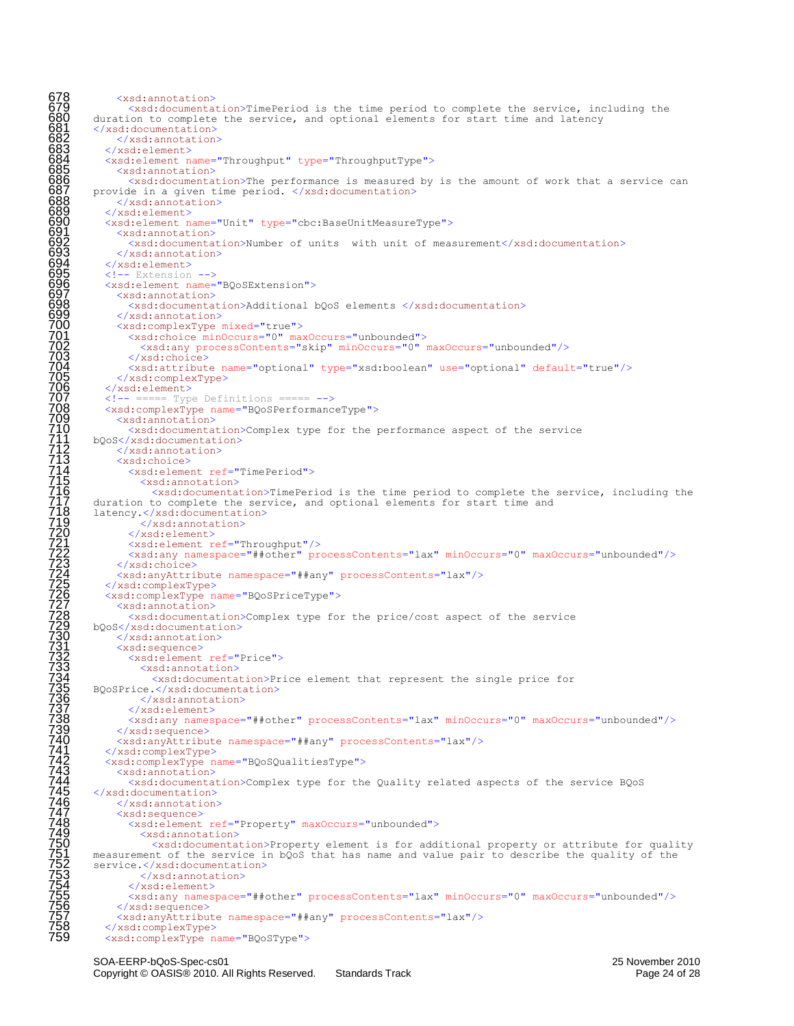```
678 <xsd:annotation><br>679 <xsd:documenta<br>680 duration to complete<br>681 </xsd:documentation><br>682 </xsd:annotation><br>683 </xsd:element>
                  679 <xsd:documentation>TimePeriod is the time period to complete the service, including the 
          duration to complete the service, and optional elements for start time and latency
          681 </xsd:documentation>
               682 </xsd:annotation>
683 </xsd:element>
            684 <xsd:element name="Throughput" type="ThroughputType">
685 <xsd:annotation><br>686 <xsd:documenta
686 \leq <xsd:documentation>The performance is measured by is the amount of work that a service can<br>687 provide in a given time period. </xsd:documentation><br>688 c/xsd:annotation>
         provide in a given time period. </xsd:documentation>
688 </xsd:annotation><br>689 </xsd:element><br>690 <xsd:element name="
             689 </xsd:element>
690 <xsd:element name="Unit" type="cbc:BaseUnitMeasureType"><br>691 <xsd:annotation><br>692 <xsd:documentation>Number of units with unit of meas
               <xsd:annotation>
692 <br>
\langle x\text{sd:documentation}\rangleNumber of units with unit of measurement\langle x\text{sd:documentation}\rangle<br>
\langle x\text{sd:element}\rangle693 </xsd:annotation>
694 </xsd:element><br>695 <!-- Extension<br>696 <xsd:element n<br>697 <xsd:annotat
            \langle -\rangle Extension \langle -\rangle696 <xsd:element name="BQoSExtension">
6988 <br>
\frac{6988}{100000}<br>
\frac{400000}{100000}<br>
\frac{400000}{10000}<br>
\frac{400000}{10000}<br>
\frac{400000}{10000}<br>
\frac{400000}{10000}<br>
\frac{400000}{10000}<br>
\frac{400000}{10000}<br>
\frac{4000000}{10000}<br>
\frac{4000000}{10000}<br>
\frac{40000000698 <xsd:documentation>Additional bQoS elements </xsd:documentation>
               699 </xsd:annotation>
               700 <xsd:complexType mixed="true">
                 701 <xsd:choice minOccurs="0" maxOccurs="unbounded">
                    702 <xsd:any processContents="skip" minOccurs="0" maxOccurs="unbounded"/>
                 \langle xsd:choice\rangle704 <xsd:attribute name="optional" type="xsd:boolean" use="optional" default="true"/>
               </xsd:complexType>
            </xsd:element>
            707 <!-- ===== Type Definitions ===== -->
            708 <xsd:complexType name="BQoSPerformanceType">
               <xsd:annotation>
                  <xsd:documentation>Complex type for the performance aspect of the service
         bQoS</xsd:documentation>
               </xsd:annotation>
               <xsd:choice>
                 714 <xsd:element ref="TimePeriod">
                    <xsd:annotation>
                       <xsd:documentation>TimePeriod is the time period to complete the service, including the
          duration to complete the service, and optional elements for start time and
          latency.</xsd:documentation>
                    </xsd:annotation>
                 </xsd:element>
                 721 <xsd:element ref="Throughput"/>
                  722 <xsd:any namespace="##other" processContents="lax" minOccurs="0" maxOccurs="unbounded"/>
               </xsd:choice>
               724 <xsd:anyAttribute namespace="##any" processContents="lax"/>
            725 </xsd:complexType>
726 <xsd:complexType name="BQoSPriceType"><br>727 <xsd:annotation>
                  <xsd:documentation>Complex type for the price/cost aspect of the service
         729 bQoS</xsd:documentation>
               730 </xsd:annotation>
               731 <xsd:sequence>
                 732 <xsd:element ref="Price">
                    733 <xsd:annotation>
                      734 <xsd:documentation>Price element that represent the single price for 
         BQoSPrice.</xsd:documentation>
                    </xsd:annotation>
                 737 </xsd:element>
                 738 <xsd:any namespace="##other" processContents="lax" minOccurs="0" maxOccurs="unbounded"/>
               739 </xsd:sequence>
               740 <xsd:anyAttribute namespace="##any" processContents="lax"/>
            741 </xsd:complexType>
            742 <xsd:complexType name="BQoSQualitiesType">
               <xsd:annotation>
                  744 <xsd:documentation>Complex type for the Quality related aspects of the service BQoS 
          </xsd:documentation>
               746 </xsd:annotation>
               <xsd:sequence>
                 748 <xsd:element ref="Property" maxOccurs="unbounded">
                    <xsd:annotation>
\frac{750}{750} \sim \frac{250}{750} \sim \frac{250}{751} measurement of the service in bQoS that has name and value pair to describe the quality of the
         service.</xsd:documentation>
                    </xsd:annotation>
                  </xsd:element>
                  755 <xsd:any namespace="##other" processContents="lax" minOccurs="0" maxOccurs="unbounded"/>
               756 </xsd:sequence>
               757 <xsd:anyAttribute namespace="##any" processContents="lax"/>
 758        </xsd:complexType><br>759         <xsd:complexType n
            759 <xsd:complexType name="BQoSType">
```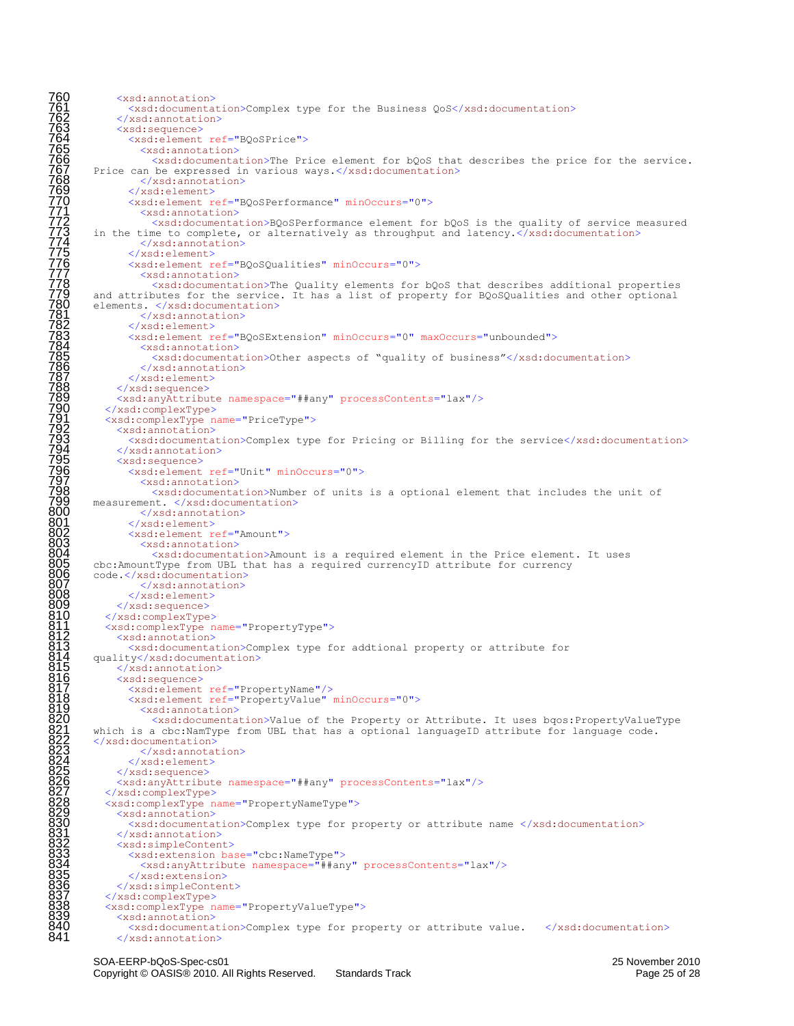```
760 <xsd:annotation><br>
762 </xsd:annotation><br>
762 </xsd:annotation<br>
762 </xsd:annotation<br>
763 <xsd:annotation<br>
766 <xsd:annotation<br>
7766 <xsd:annotation<br>
7770 <xsd:element<br>
7770 <xsd:element<br>
7771 <xsd:element<br>
7773 in the 
                  761 <xsd:documentation>Complex type for the Business QoS</xsd:documentation>
               762 </xsd:annotation>
               763 <xsd:sequence>
                 764 <xsd:element ref="BQoSPrice">
                   <xsd:annotation>
                      766 <xsd:documentation>The Price element for bQoS that describes the price for the service. 
         Price can be expressed in various ways.</xsd:documentation>
                    768 </xsd:annotation>
                 769 </xsd:element>
                 770 <xsd:element ref="BQoSPerformance" minOccurs="0">
                   <xsd:annotation>
                      772 <xsd:documentation>BQoSPerformance element for bQoS is the quality of service measured 
         in the time to complete, or alternatively as throughput and latency.</xsd:documentation>
                    </xsd:annotation>
                 775 </xsd:element>
                 776 <xsd:element ref="BQoSQualities" minOccurs="0">
                   <xsd:annotation>
                      <xsd:documentation>The Quality elements for bQoS that describes additional properties
         and attributes for the service. It has a list of property for BQoSQualities and other optional
         elements. </xsd:documentation>
                    781 </xsd:annotation>
                 \langle xsd:element>
                 783 <xsd:element ref="BQoSExtension" minOccurs="0" maxOccurs="unbounded">
                   <xsd:annotation>
                      785 <xsd:documentation>Other aspects of "quality of business"</xsd:documentation>
                   786 </xsd:annotation>
                 </xsd:element>
               </xsd:sequence>
              789 <xsd:anyAttribute namespace="##any" processContents="lax"/>
            790 </xsd:complexType>
            791 <xsd:complexType name="PriceType">
               <xsd:annotation>
                 793 <xsd:documentation>Complex type for Pricing or Billing for the service</xsd:documentation>
               </xsd:annotation>
               <xsd:sequence>
                 796 <xsd:element ref="Unit" minOccurs="0">
                   <xsd:annotation>
                      798 <xsd:documentation>Number of units is a optional element that includes the unit of 
         measurement. </xsd:documentation>
                    </xsd:annotation>
801 </xsd:element>
                 802 <xsd:element ref="Amount">
803 <xsd:annotation><br>804 <xsd:documenta
804 <xsd:documentation>Amount is a required element in the Price element. It uses<br>805 cbc:AmountType from UBL that has a required currencyID attribute for currency<br>806 code.</xsd:documentation>
         cbc:AmountType from UBL that has a required currencyID attribute for currency
806 code.</xsd:documentation><br>807 </xsd:annotation>
807 </xsd:annotation><br>808 </xsd:element><br>809 </xsd:sequence>
                 808 </xsd:element>
809 </xsd:sequence><br>810 </xsd:complexType<br>811 <<xsd:complexType<br>812 <xsd:complexType<br>812 <xsd:anotation<br>813 <<xsd:alocument<br>814 </xsd:alocument<br>815 </xsd:alocument<br>815 </xsd:anotation<br>8217 <xsd:element<br>818 <xsd:element<br>820
            810 </xsd:complexType>
            811 <xsd:complexType name="PropertyType">
               812 <xsd:annotation>
                 813 <xsd:documentation>Complex type for addtional property or attribute for 
         quality</xsd:documentation>
               </xsd:annotation>
               <xsd:sequence>
817 <xsd:element ref="PropertyName"/>
818 <xsd:element ref="PropertyValue" minOccurs="0">
                   819 <xsd:annotation>
                      820 <xsd:documentation>Value of the Property or Attribute. It uses bqos:PropertyValueType 
         which is a cbc:NamType from UBL that has a optional languageID attribute for language code.
         </xsd:documentation>
                    823 </xsd:annotation>
                 </xsd:element>
               825 </xsd:sequence>
               826 <xsd:anyAttribute namespace="##any" processContents="lax"/>
            827 </xsd:complexType>
            828 <xsd:complexType name="PropertyNameType">
              <xsd:annotation>
                 830 <xsd:documentation>Complex type for property or attribute name </xsd:documentation>
               831 </xsd:annotation>
              <xsd:simpleContent>
833 <xsd:extension base="cbc:NameType"><br>834 <xsd:anyAttribute namespace="##an<br>835 </xsd:extension><br>836 </xsd:simpleContent>
                   834 <xsd:anyAttribute namespace="##any" processContents="lax"/>
                 </xsd:extension>
836 </xsd:simpleContent><br>837 </xsd:complexType><br>838 <xsd:complexType name=<br>839 <xsd:annotation>
            837 </xsd:complexType>
            838 <xsd:complexType name="PropertyValueType">
839 <xsd:annotation><br>840 <xsd:documenta
840 <xsd:documentation>Complex type for property or attribute value. </xsd:documentation><br>841 </xsd:annotation>
               </xsd:annotation>
```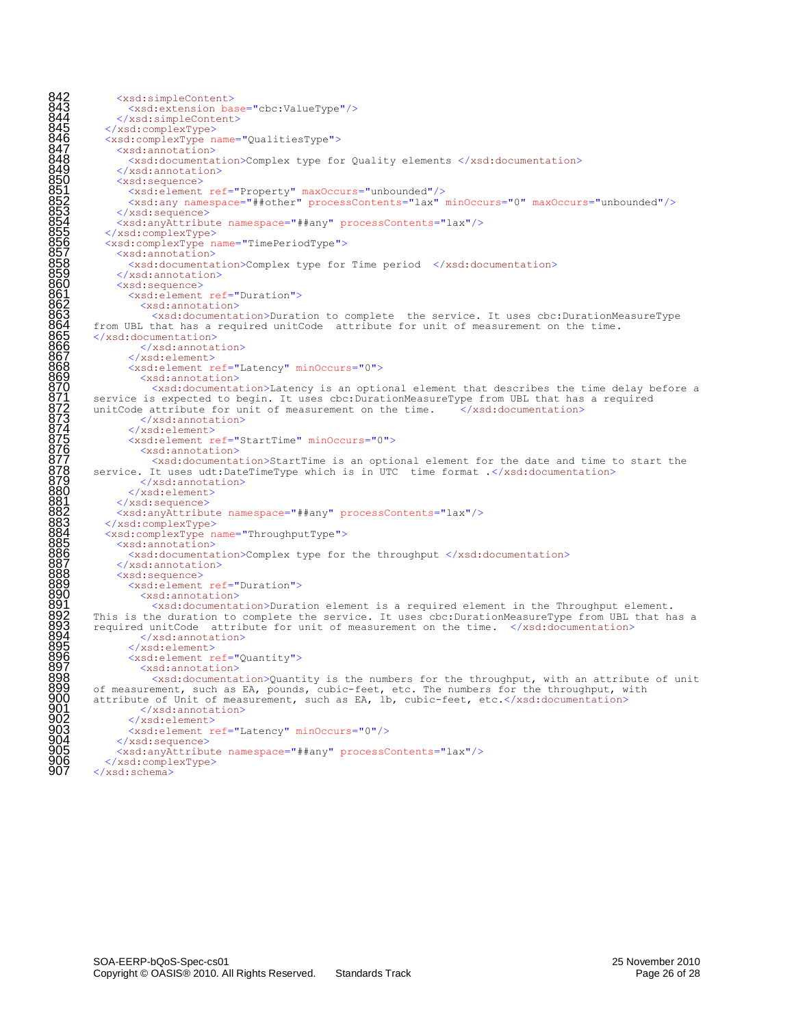```
842<br>
8444 <xsd:simpleContent><br>
8444 <xsd:simpleContent<br>
8444 </xsd:simpleContent<br>
8445 </xsd:complexType><br>
8446 <xsd:complexType name<br>
8446 <xsd:complexType name<br>
8448 <xsd:nanotation><br>
850 <xsd:nanotation><br>
850 <xsd:nanot
                    843 <xsd:extension base="cbc:ValueType"/>
                 844 </xsd:simpleContent>
              845 </xsd:complexType>
              846 <xsd:complexType name="QualitiesType">
                 847 <xsd:annotation>
                    848 <xsd:documentation>Complex type for Quality elements </xsd:documentation>
                 849 </xsd:annotation>
                 850 <xsd:sequence>
851 <xsd:element ref="Property" maxOccurs="unbounded"/>
852 <xsd:any namespace="##other" processContents="lax" minOccurs="0" maxOccurs="unbounded"/>
                 853 </xsd:sequence>
                 854 <xsd:anyAttribute namespace="##any" processContents="lax"/>
              855 </xsd:complexType>
              856 <xsd:complexType name="TimePeriodType">
                 857 <xsd:annotation>
858<br>
8589 <xsd:annotation><br>
2000 <xsd:annotation><br>
2000 <xsd:annotation><br>
2000 <xsd:annotation><br>
2000 <xsd:element ref="Duration"><br>
867 <xsd:documentation><br>
2015 <xsd:documentation><br>
2015 xadidocumentation><br>
2016 from UBI 
                 859 </xsd:annotation>
                 860 <xsd:sequence>
                   861 <xsd:element ref="Duration">
                      862 <xsd:annotation>
                          863 <xsd:documentation>Duration to complete the service. It uses cbc:DurationMeasureType 
          from UBL that has a required unitCode attribute for unit of measurement on the time.
           865 </xsd:documentation>
                       866 </xsd:annotation>
                    867 </xsd:element>
                   868 <xsd:element ref="Latency" minOccurs="0">
                      <xsd:annotation>
                         870 <xsd:documentation>Latency is an optional element that describes the time delay before a 
           service is expected to begin. It uses cbc:DurationMeasureType from UBL that has a required unitCode attribute for unit of measurement on the time. \langle x \ranglesd:documentation>
           unitCode attribute for unit of measurement on the time.
                       </xsd:annotation>
                    874 </xsd:element>
                   875 <xsd:element ref="StartTime" minOccurs="0">
                       <xsd:annotation>
                          877 <xsd:documentation>StartTime is an optional element for the date and time to start the 
          service. It uses udt:DateTimeType which is in UTC time format .</xsd:documentation>
879 </xsd:annotation>
880 </xsd:element><br>881 </xsd:sequence><br>882 <xsd:anyAttribut
                 </xsd:sequence>
882 <xsd:anyAttribute namespace="##any" processContents="lax"/><br>883 </xsd:complexType>
883 </xsd:complexType><br>884 <xsd:complexType n<br>885 <xsd:annotation>
              884 <xsd:complexType name="ThroughputType">
885 <xsd:annotation><br>886 <xsd:documenta
886 <xsd:documentation>Complex type for the throughput </xsd:documentation><br>887 </xsd:annotation><br>888 <xsd:sequence>
                 887 </xsd:annotation>
888 <xsd:sequence>
889 <xsd:element ref="Duration"><br>890 <xsd:annotation><br>891 <xsd:documentation>Durat
                      890 <xsd:annotation>
891 <xsd:documentation>Duration element is a required element in the Throughput element.<br>892 This is the duration to complete the service. It uses cbc:DurationMeasureType from UBL that has<br>893 required unitCode attribute f
892 This is the duration to complete the service. It uses cbc:DurationMeasureType from UBL that has a required unitCode attribute for unit of measurement on the time. </xsd:documentation>
894 </xsd:annotation><br>895 </xsd:element><br>896 <xsd:element ref="0<br>897 <xsd:annotation>
                   895 </xsd:element>
                   896 <xsd:element ref="Quantity">
897 <xsd:annotation>
898 <xsd:documentation>Quantity is the numbers for the throughput, with an attribute of unit 
899 of measurement, such as EA, pounds, cubic-feet, etc. The numbers for the throughput, with attribute of Unit of measurement, such as EA, lb, cubic-feet, etc.</xsd:documentation>
901 <br>
Superior System (1990)<br>
Superior (1990)<br>
Superior (1990)<br>
Superior (1991)<br>
Superior (1991)<br>
Superior (1991)<br>
Superior (1991)
                    902 </xsd:element>
903 <xsd:element ref="Latency" minOccurs="0"/><br>904 </xsd:sequence><br>905 <xsd:anyAttribute namespace="##any" processC<br>906 </xsd:complexType>
                 904 </xsd:sequence>
                 905 <xsd:anyAttribute namespace="##any" processContents="lax"/>
906 </xsd:complexType><br>907 </xsd:schema>
           \langle xsd:schema>
```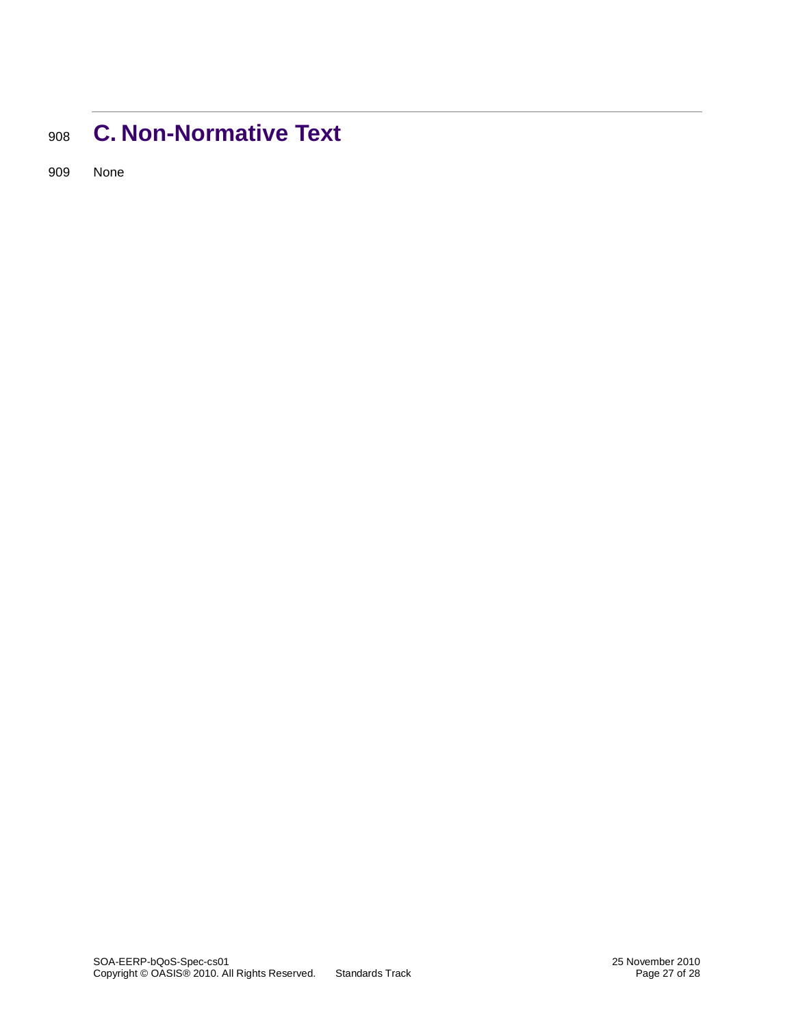# <span id="page-26-0"></span><sup>908</sup> **C. Non-Normative Text**

909 None